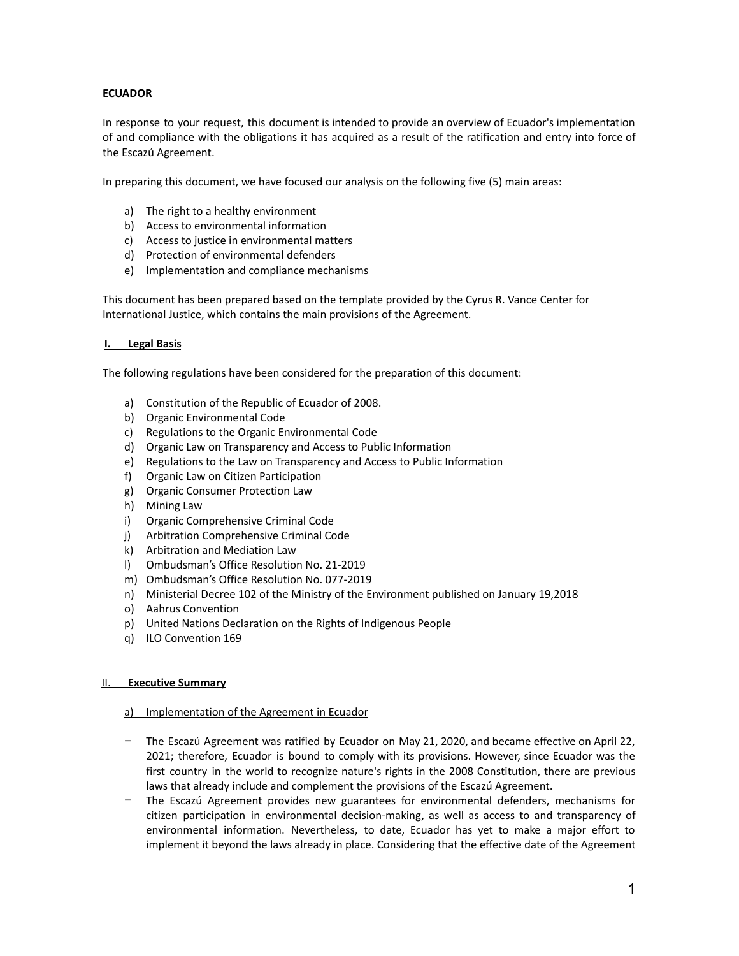# **ECUADOR**

In response to your request, this document is intended to provide an overview of Ecuador's implementation of and compliance with the obligations it has acquired as a result of the ratification and entry into force of the Escazú Agreement.

In preparing this document, we have focused our analysis on the following five (5) main areas:

- a) The right to a healthy environment
- b) Access to environmental information
- c) Access to justice in environmental matters
- d) Protection of environmental defenders
- e) Implementation and compliance mechanisms

This document has been prepared based on the template provided by the Cyrus R. Vance Center for International Justice, which contains the main provisions of the Agreement.

#### **I. Legal Basis**

The following regulations have been considered for the preparation of this document:

- a) Constitution of the Republic of Ecuador of 2008.
- b) Organic Environmental Code
- c) Regulations to the Organic Environmental Code
- d) Organic Law on Transparency and Access to Public Information
- e) Regulations to the Law on Transparency and Access to Public Information
- f) Organic Law on Citizen Participation
- g) Organic Consumer Protection Law
- h) Mining Law
- i) Organic Comprehensive Criminal Code
- j) Arbitration Comprehensive Criminal Code
- k) Arbitration and Mediation Law
- l) Ombudsman's Office Resolution No. 21-2019
- m) Ombudsman's Office Resolution No. 077-2019
- n) Ministerial Decree 102 of the Ministry of the Environment published on January 19,2018
- o) Aahrus Convention
- p) United Nations Declaration on the Rights of Indigenous People
- q) ILO Convention 169

#### II. **Executive Summary**

#### a) Implementation of the Agreement in Ecuador

- − The Escazú Agreement was ratified by Ecuador on May 21, 2020, and became effective on April 22, 2021; therefore, Ecuador is bound to comply with its provisions. However, since Ecuador was the first country in the world to recognize nature's rights in the 2008 Constitution, there are previous laws that already include and complement the provisions of the Escazú Agreement.
- The Escazú Agreement provides new guarantees for environmental defenders, mechanisms for citizen participation in environmental decision-making, as well as access to and transparency of environmental information. Nevertheless, to date, Ecuador has yet to make a major effort to implement it beyond the laws already in place. Considering that the effective date of the Agreement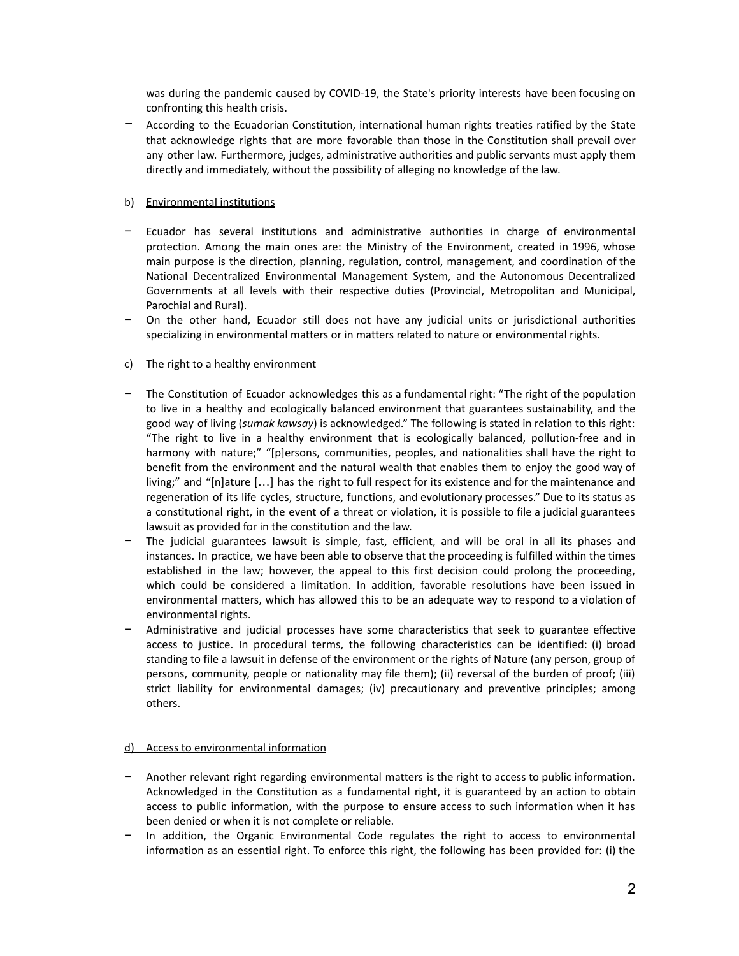was during the pandemic caused by COVID-19, the State's priority interests have been focusing on confronting this health crisis.

− According to the Ecuadorian Constitution, international human rights treaties ratified by the State that acknowledge rights that are more favorable than those in the Constitution shall prevail over any other law. Furthermore, judges, administrative authorities and public servants must apply them directly and immediately, without the possibility of alleging no knowledge of the law.

## b) Environmental institutions

- Ecuador has several institutions and administrative authorities in charge of environmental protection. Among the main ones are: the Ministry of the Environment, created in 1996, whose main purpose is the direction, planning, regulation, control, management, and coordination of the National Decentralized Environmental Management System, and the Autonomous Decentralized Governments at all levels with their respective duties (Provincial, Metropolitan and Municipal, Parochial and Rural).
- − On the other hand, Ecuador still does not have any judicial units or jurisdictional authorities specializing in environmental matters or in matters related to nature or environmental rights.

# c) The right to a healthy environment

- The Constitution of Ecuador acknowledges this as a fundamental right: "The right of the population to live in a healthy and ecologically balanced environment that guarantees sustainability, and the good way of living (*sumak kawsay*) is acknowledged." The following is stated in relation to this right: "The right to live in a healthy environment that is ecologically balanced, pollution-free and in harmony with nature;" "[p]ersons, communities, peoples, and nationalities shall have the right to benefit from the environment and the natural wealth that enables them to enjoy the good way of living;" and "[n]ature […] has the right to full respect for its existence and for the maintenance and regeneration of its life cycles, structure, functions, and evolutionary processes." Due to its status as a constitutional right, in the event of a threat or violation, it is possible to file a judicial guarantees lawsuit as provided for in the constitution and the law.
- The judicial guarantees lawsuit is simple, fast, efficient, and will be oral in all its phases and instances. In practice, we have been able to observe that the proceeding is fulfilled within the times established in the law; however, the appeal to this first decision could prolong the proceeding, which could be considered a limitation. In addition, favorable resolutions have been issued in environmental matters, which has allowed this to be an adequate way to respond to a violation of environmental rights.
- − Administrative and judicial processes have some characteristics that seek to guarantee effective access to justice. In procedural terms, the following characteristics can be identified: (i) broad standing to file a lawsuit in defense of the environment or the rights of Nature (any person, group of persons, community, people or nationality may file them); (ii) reversal of the burden of proof; (iii) strict liability for environmental damages; (iv) precautionary and preventive principles; among others.

## d) Access to environmental information

- − Another relevant right regarding environmental matters is the right to access to public information. Acknowledged in the Constitution as a fundamental right, it is guaranteed by an action to obtain access to public information, with the purpose to ensure access to such information when it has been denied or when it is not complete or reliable.
- In addition, the Organic Environmental Code regulates the right to access to environmental information as an essential right. To enforce this right, the following has been provided for: (i) the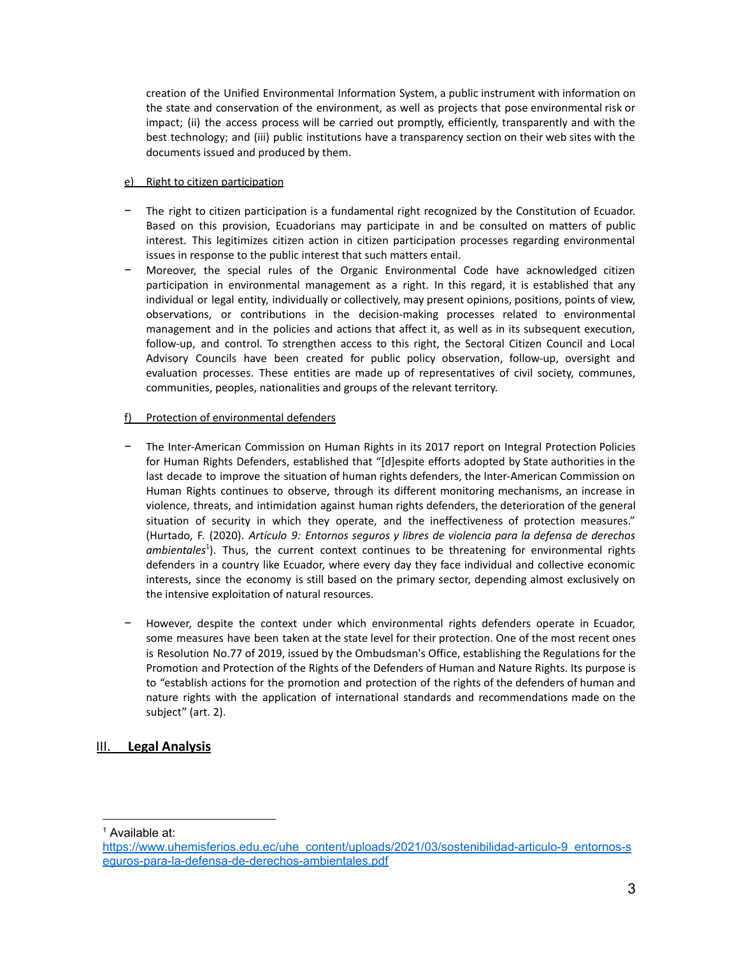creation of the Unified Environmental Information System, a public instrument with information on the state and conservation of the environment, as well as projects that pose environmental risk or impact; (ii) the access process will be carried out promptly, efficiently, transparently and with the best technology; and (iii) public institutions have a transparency section on their web sites with the documents issued and produced by them.

## e) Right to citizen participation

- The right to citizen participation is a fundamental right recognized by the Constitution of Ecuador. Based on this provision, Ecuadorians may participate in and be consulted on matters of public interest. This legitimizes citizen action in citizen participation processes regarding environmental issues in response to the public interest that such matters entail.
- − Moreover, the special rules of the Organic Environmental Code have acknowledged citizen participation in environmental management as a right. In this regard, it is established that any individual or legal entity, individually or collectively, may present opinions, positions, points of view, observations, or contributions in the decision-making processes related to environmental management and in the policies and actions that affect it, as well as in its subsequent execution, follow-up, and control. To strengthen access to this right, the Sectoral Citizen Council and Local Advisory Councils have been created for public policy observation, follow-up, oversight and evaluation processes. These entities are made up of representatives of civil society, communes, communities, peoples, nationalities and groups of the relevant territory.

# f) Protection of environmental defenders

- − The Inter-American Commission on Human Rights in its 2017 report on Integral Protection Policies for Human Rights Defenders, established that "[d]espite efforts adopted by State authorities in the last decade to improve the situation of human rights defenders, the Inter-American Commission on Human Rights continues to observe, through its different monitoring mechanisms, an increase in violence, threats, and intimidation against human rights defenders, the deterioration of the general situation of security in which they operate, and the ineffectiveness of protection measures." (Hurtado, F. (2020). *Artículo 9: Entornos seguros y libres de violencia para la defensa de derechos* ambientales<sup>1</sup>). Thus, the current context continues to be threatening for environmental rights defenders in a country like Ecuador, where every day they face individual and collective economic interests, since the economy is still based on the primary sector, depending almost exclusively on the intensive exploitation of natural resources.
- − However, despite the context under which environmental rights defenders operate in Ecuador, some measures have been taken at the state level for their protection. One of the most recent ones is Resolution No.77 of 2019, issued by the Ombudsman's Office, establishing the Regulations for the Promotion and Protection of the Rights of the Defenders of Human and Nature Rights. Its purpose is to "establish actions for the promotion and protection of the rights of the defenders of human and nature rights with the application of international standards and recommendations made on the subject" (art. 2).

# III. **Legal Analysis**

<sup>1</sup> Available at:

[https://www.uhemisferios.edu.ec/uhe\\_content/uploads/2021/03/sostenibilidad-articulo-9\\_entornos-s](https://www.uhemisferios.edu.ec/uhe_content/uploads/2021/03/sostenibilidad-articulo-9_entornos-seguros-para-la-defensa-de-derechos-ambientales.pdf) [eguros-para-la-defensa-de-derechos-ambientales.pdf](https://www.uhemisferios.edu.ec/uhe_content/uploads/2021/03/sostenibilidad-articulo-9_entornos-seguros-para-la-defensa-de-derechos-ambientales.pdf)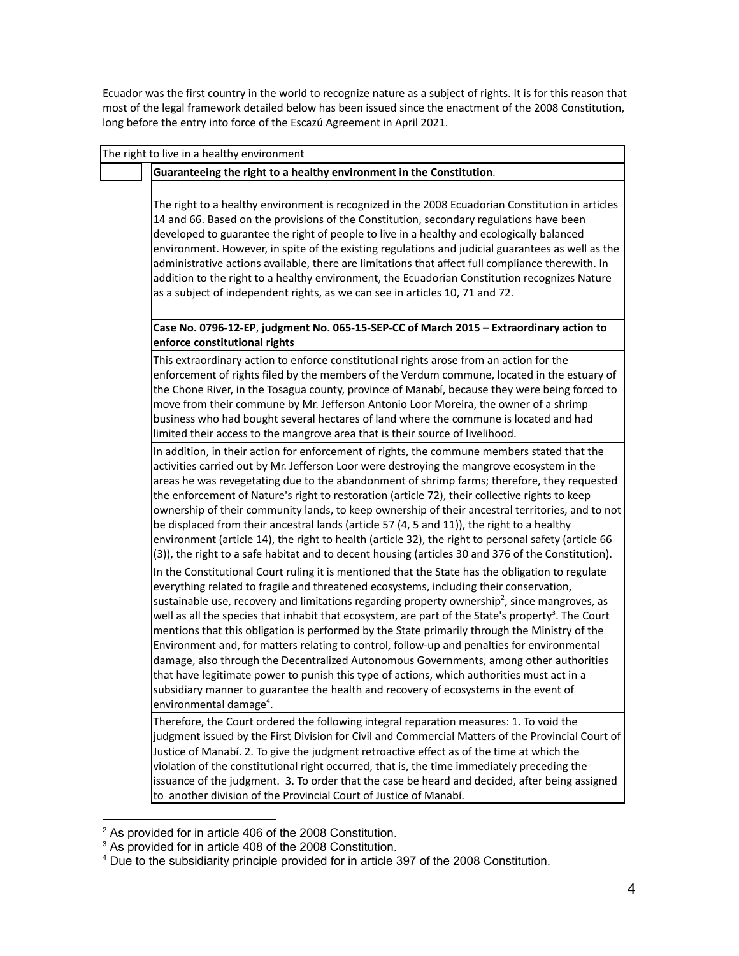Ecuador was the first country in the world to recognize nature as a subject of rights. It is for this reason that most of the legal framework detailed below has been issued since the enactment of the 2008 Constitution, long before the entry into force of the Escazú Agreement in April 2021.

| The right to live in a healthy environment                                                                                                                                                                                                                                                                                                                                                                                                                                                                                                                                                                                                                                                                                                                                                                                                                                                                                                       |
|--------------------------------------------------------------------------------------------------------------------------------------------------------------------------------------------------------------------------------------------------------------------------------------------------------------------------------------------------------------------------------------------------------------------------------------------------------------------------------------------------------------------------------------------------------------------------------------------------------------------------------------------------------------------------------------------------------------------------------------------------------------------------------------------------------------------------------------------------------------------------------------------------------------------------------------------------|
| Guaranteeing the right to a healthy environment in the Constitution.                                                                                                                                                                                                                                                                                                                                                                                                                                                                                                                                                                                                                                                                                                                                                                                                                                                                             |
| The right to a healthy environment is recognized in the 2008 Ecuadorian Constitution in articles<br>14 and 66. Based on the provisions of the Constitution, secondary regulations have been<br>developed to guarantee the right of people to live in a healthy and ecologically balanced<br>environment. However, in spite of the existing regulations and judicial guarantees as well as the<br>administrative actions available, there are limitations that affect full compliance therewith. In<br>addition to the right to a healthy environment, the Ecuadorian Constitution recognizes Nature<br>as a subject of independent rights, as we can see in articles 10, 71 and 72.                                                                                                                                                                                                                                                              |
|                                                                                                                                                                                                                                                                                                                                                                                                                                                                                                                                                                                                                                                                                                                                                                                                                                                                                                                                                  |
| Case No. 0796-12-EP, judgment No. 065-15-SEP-CC of March 2015 - Extraordinary action to<br>enforce constitutional rights                                                                                                                                                                                                                                                                                                                                                                                                                                                                                                                                                                                                                                                                                                                                                                                                                         |
| This extraordinary action to enforce constitutional rights arose from an action for the<br>enforcement of rights filed by the members of the Verdum commune, located in the estuary of<br>the Chone River, in the Tosagua county, province of Manabí, because they were being forced to<br>move from their commune by Mr. Jefferson Antonio Loor Moreira, the owner of a shrimp<br>business who had bought several hectares of land where the commune is located and had<br>limited their access to the mangrove area that is their source of livelihood.                                                                                                                                                                                                                                                                                                                                                                                        |
| In addition, in their action for enforcement of rights, the commune members stated that the<br>activities carried out by Mr. Jefferson Loor were destroying the mangrove ecosystem in the<br>areas he was revegetating due to the abandonment of shrimp farms; therefore, they requested<br>the enforcement of Nature's right to restoration (article 72), their collective rights to keep<br>ownership of their community lands, to keep ownership of their ancestral territories, and to not<br>be displaced from their ancestral lands (article 57 (4, 5 and 11)), the right to a healthy<br>environment (article 14), the right to health (article 32), the right to personal safety (article 66<br>(3)), the right to a safe habitat and to decent housing (articles 30 and 376 of the Constitution).                                                                                                                                       |
| In the Constitutional Court ruling it is mentioned that the State has the obligation to regulate<br>everything related to fragile and threatened ecosystems, including their conservation,<br>sustainable use, recovery and limitations regarding property ownership <sup>2</sup> , since mangroves, as<br>well as all the species that inhabit that ecosystem, are part of the State's property <sup>3</sup> . The Court<br>mentions that this obligation is performed by the State primarily through the Ministry of the<br>Environment and, for matters relating to control, follow-up and penalties for environmental<br>damage, also through the Decentralized Autonomous Governments, among other authorities<br>that have legitimate power to punish this type of actions, which authorities must act in a<br>subsidiary manner to guarantee the health and recovery of ecosystems in the event of<br>environmental damage <sup>4</sup> . |
| Therefore, the Court ordered the following integral reparation measures: 1. To void the<br>judgment issued by the First Division for Civil and Commercial Matters of the Provincial Court of<br>Justice of Manabí. 2. To give the judgment retroactive effect as of the time at which the<br>violation of the constitutional right occurred, that is, the time immediately preceding the<br>issuance of the judgment. 3. To order that the case be heard and decided, after being assigned<br>to another division of the Provincial Court of Justice of Manabí.                                                                                                                                                                                                                                                                                                                                                                                  |

 $2$  As provided for in article 406 of the 2008 Constitution.

 $3$  As provided for in article 408 of the 2008 Constitution.

<sup>4</sup> Due to the subsidiarity principle provided for in article 397 of the 2008 Constitution.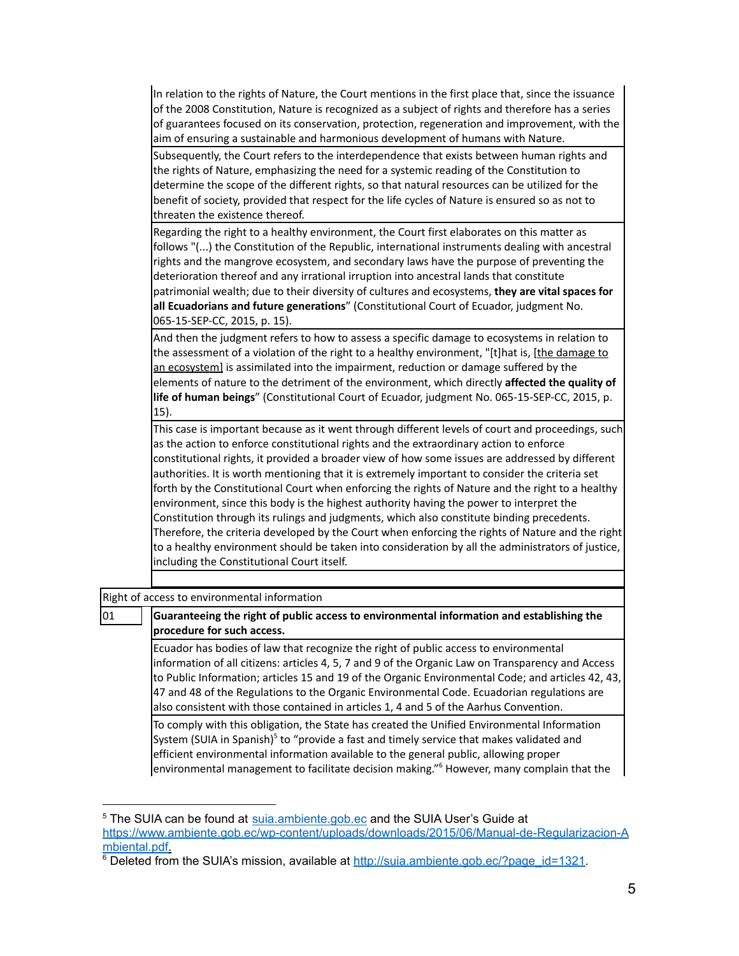In relation to the rights of Nature, the Court mentions in the first place that, since the issuance of the 2008 Constitution, Nature is recognized as a subject of rights and therefore has a series of guarantees focused on its conservation, protection, regeneration and improvement, with the aim of ensuring a sustainable and harmonious development of humans with Nature.

Subsequently, the Court refers to the interdependence that exists between human rights and the rights of Nature, emphasizing the need for a systemic reading of the Constitution to determine the scope of the different rights, so that natural resources can be utilized for the benefit of society, provided that respect for the life cycles of Nature is ensured so as not to threaten the existence thereof.

Regarding the right to a healthy environment, the Court first elaborates on this matter as follows "(...) the Constitution of the Republic, international instruments dealing with ancestral rights and the mangrove ecosystem, and secondary laws have the purpose of preventing the deterioration thereof and any irrational irruption into ancestral lands that constitute patrimonial wealth; due to their diversity of cultures and ecosystems, **they are vital spaces for all Ecuadorians and future generations**" (Constitutional Court of Ecuador, judgment No. 065-15-SEP-CC, 2015, p. 15).

And then the judgment refers to how to assess a specific damage to ecosystems in relation to the assessment of a violation of the right to a healthy environment, "[t]hat is, [the damage to an ecosystem] is assimilated into the impairment, reduction or damage suffered by the elements of nature to the detriment of the environment, which directly **affected the quality of life of human beings**" (Constitutional Court of Ecuador, judgment No. 065-15-SEP-CC, 2015, p. 15).

This case is important because as it went through different levels of court and proceedings, such as the action to enforce constitutional rights and the extraordinary action to enforce constitutional rights, it provided a broader view of how some issues are addressed by different authorities. It is worth mentioning that it is extremely important to consider the criteria set forth by the Constitutional Court when enforcing the rights of Nature and the right to a healthy environment, since this body is the highest authority having the power to interpret the Constitution through its rulings and judgments, which also constitute binding precedents. Therefore, the criteria developed by the Court when enforcing the rights of Nature and the right to a healthy environment should be taken into consideration by all the administrators of justice, including the Constitutional Court itself.

## Right of access to environmental information

## 01 **Guaranteeing the right of public access to environmental information and establishing the procedure for such access.**

Ecuador has bodies of law that recognize the right of public access to environmental information of all citizens: articles 4, 5, 7 and 9 of the Organic Law on Transparency and Access to Public Information; articles 15 and 19 of the Organic Environmental Code; and articles 42, 43, 47 and 48 of the Regulations to the Organic Environmental Code. Ecuadorian regulations are also consistent with those contained in articles 1, 4 and 5 of the Aarhus Convention.

To comply with this obligation, the State has created the Unified Environmental Information System (SUIA in Spanish)<sup>5</sup> to "provide a fast and timely service that makes validated and efficient environmental information available to the general public, allowing proper environmental management to facilitate decision making." <sup>6</sup> However, many complain that the

<sup>&</sup>lt;sup>5</sup> The SUIA can be found at [suia.ambiente.gob.ec](http://suia.ambiente.gob.ec) and the SUIA User's Guide at [https://www.ambiente.gob.ec/wp-content/uploads/downloads/2015/06/Manual-de-Regularizacion-A](https://www.ambiente.gob.ec/wp-content/uploads/downloads/2015/06/Manual-de-Regularizacion-Ambiental.pdf) [mbiental.pdf.](https://www.ambiente.gob.ec/wp-content/uploads/downloads/2015/06/Manual-de-Regularizacion-Ambiental.pdf)

<sup>&</sup>lt;sup>6</sup> Deleted from the SUIA's mission, available at [http://suia.ambiente.gob.ec/?page\\_id=1321](http://suia.ambiente.gob.ec/?page_id=1321).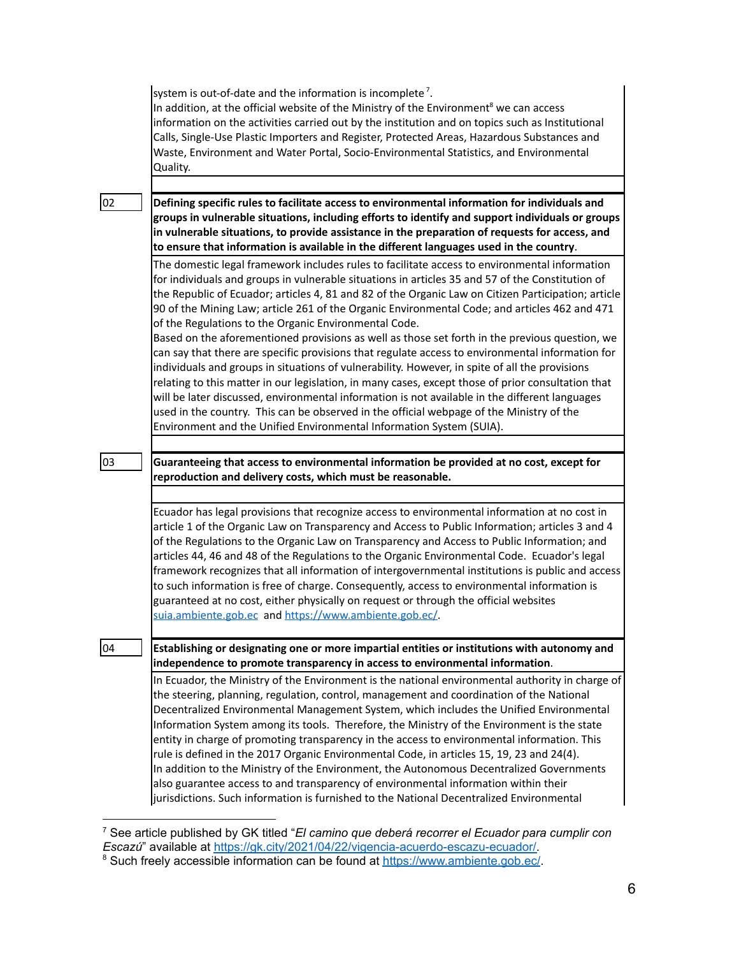|    | system is out-of-date and the information is incomplete <sup>7</sup> .<br>In addition, at the official website of the Ministry of the Environment <sup>8</sup> we can access<br>information on the activities carried out by the institution and on topics such as Institutional<br>Calls, Single-Use Plastic Importers and Register, Protected Areas, Hazardous Substances and<br>Waste, Environment and Water Portal, Socio-Environmental Statistics, and Environmental<br>Quality.                                                                                                                                                                                                                                                                                                                                                                             |
|----|-------------------------------------------------------------------------------------------------------------------------------------------------------------------------------------------------------------------------------------------------------------------------------------------------------------------------------------------------------------------------------------------------------------------------------------------------------------------------------------------------------------------------------------------------------------------------------------------------------------------------------------------------------------------------------------------------------------------------------------------------------------------------------------------------------------------------------------------------------------------|
|    |                                                                                                                                                                                                                                                                                                                                                                                                                                                                                                                                                                                                                                                                                                                                                                                                                                                                   |
| 02 | Defining specific rules to facilitate access to environmental information for individuals and<br>groups in vulnerable situations, including efforts to identify and support individuals or groups<br>in vulnerable situations, to provide assistance in the preparation of requests for access, and<br>to ensure that information is available in the different languages used in the country.                                                                                                                                                                                                                                                                                                                                                                                                                                                                    |
|    | The domestic legal framework includes rules to facilitate access to environmental information<br>for individuals and groups in vulnerable situations in articles 35 and 57 of the Constitution of<br>the Republic of Ecuador; articles 4, 81 and 82 of the Organic Law on Citizen Participation; article<br>90 of the Mining Law; article 261 of the Organic Environmental Code; and articles 462 and 471<br>of the Regulations to the Organic Environmental Code.                                                                                                                                                                                                                                                                                                                                                                                                |
|    | Based on the aforementioned provisions as well as those set forth in the previous question, we<br>can say that there are specific provisions that regulate access to environmental information for<br>individuals and groups in situations of vulnerability. However, in spite of all the provisions<br>relating to this matter in our legislation, in many cases, except those of prior consultation that<br>will be later discussed, environmental information is not available in the different languages<br>used in the country. This can be observed in the official webpage of the Ministry of the<br>Environment and the Unified Environmental Information System (SUIA).                                                                                                                                                                                  |
|    |                                                                                                                                                                                                                                                                                                                                                                                                                                                                                                                                                                                                                                                                                                                                                                                                                                                                   |
| 03 | Guaranteeing that access to environmental information be provided at no cost, except for<br>reproduction and delivery costs, which must be reasonable.                                                                                                                                                                                                                                                                                                                                                                                                                                                                                                                                                                                                                                                                                                            |
|    |                                                                                                                                                                                                                                                                                                                                                                                                                                                                                                                                                                                                                                                                                                                                                                                                                                                                   |
|    | Ecuador has legal provisions that recognize access to environmental information at no cost in<br>article 1 of the Organic Law on Transparency and Access to Public Information; articles 3 and 4<br>of the Regulations to the Organic Law on Transparency and Access to Public Information; and<br>articles 44, 46 and 48 of the Regulations to the Organic Environmental Code. Ecuador's legal<br>framework recognizes that all information of intergovernmental institutions is public and access<br>to such information is free of charge. Consequently, access to environmental information is<br>guaranteed at no cost, either physically on request or through the official websites<br>suia.ambiente.gob.ec and https://www.ambiente.gob.ec/                                                                                                               |
| 04 | Establishing or designating one or more impartial entities or institutions with autonomy and<br>independence to promote transparency in access to environmental information.                                                                                                                                                                                                                                                                                                                                                                                                                                                                                                                                                                                                                                                                                      |
|    | In Ecuador, the Ministry of the Environment is the national environmental authority in charge of<br>the steering, planning, regulation, control, management and coordination of the National<br>Decentralized Environmental Management System, which includes the Unified Environmental<br>Information System among its tools. Therefore, the Ministry of the Environment is the state<br>entity in charge of promoting transparency in the access to environmental information. This<br>rule is defined in the 2017 Organic Environmental Code, in articles 15, 19, 23 and 24(4).<br>In addition to the Ministry of the Environment, the Autonomous Decentralized Governments<br>also guarantee access to and transparency of environmental information within their<br>jurisdictions. Such information is furnished to the National Decentralized Environmental |

<sup>7</sup> See article published by GK titled "*El camino que deberá recorrer el Ecuador para cumplir con Escazú*" available at [https://gk.city/2021/04/22/vigencia-acuerdo-escazu-ecuador/.](https://gk.city/2021/04/22/vigencia-acuerdo-escazu-ecuador/)

<sup>&</sup>lt;sup>8</sup> Such freely accessible information can be found at [https://www.ambiente.gob.ec/.](https://www.ambiente.gob.ec/)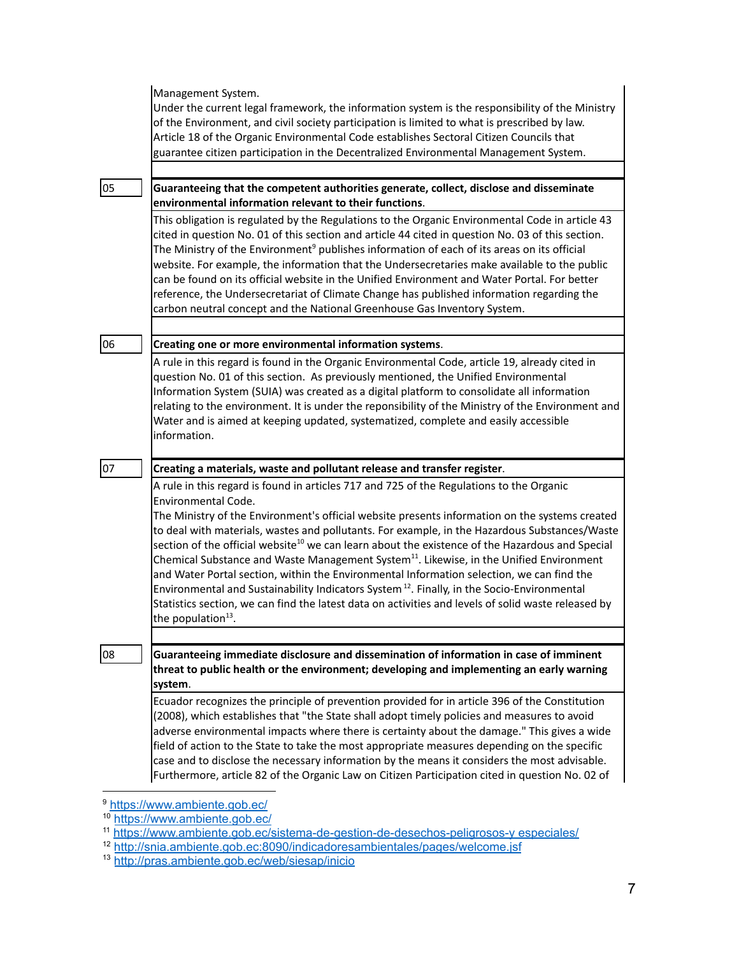|    | Management System.<br>Under the current legal framework, the information system is the responsibility of the Ministry<br>of the Environment, and civil society participation is limited to what is prescribed by law.<br>Article 18 of the Organic Environmental Code establishes Sectoral Citizen Councils that<br>guarantee citizen participation in the Decentralized Environmental Management System.                                                                                                                                                                                                                                                                                                                                                                                                                                                                       |
|----|---------------------------------------------------------------------------------------------------------------------------------------------------------------------------------------------------------------------------------------------------------------------------------------------------------------------------------------------------------------------------------------------------------------------------------------------------------------------------------------------------------------------------------------------------------------------------------------------------------------------------------------------------------------------------------------------------------------------------------------------------------------------------------------------------------------------------------------------------------------------------------|
|    |                                                                                                                                                                                                                                                                                                                                                                                                                                                                                                                                                                                                                                                                                                                                                                                                                                                                                 |
| 05 | Guaranteeing that the competent authorities generate, collect, disclose and disseminate<br>environmental information relevant to their functions.                                                                                                                                                                                                                                                                                                                                                                                                                                                                                                                                                                                                                                                                                                                               |
|    | This obligation is regulated by the Regulations to the Organic Environmental Code in article 43<br>cited in question No. 01 of this section and article 44 cited in question No. 03 of this section.<br>The Ministry of the Environment <sup>9</sup> publishes information of each of its areas on its official<br>website. For example, the information that the Undersecretaries make available to the public<br>can be found on its official website in the Unified Environment and Water Portal. For better<br>reference, the Undersecretariat of Climate Change has published information regarding the<br>carbon neutral concept and the National Greenhouse Gas Inventory System.                                                                                                                                                                                        |
|    |                                                                                                                                                                                                                                                                                                                                                                                                                                                                                                                                                                                                                                                                                                                                                                                                                                                                                 |
| 06 | Creating one or more environmental information systems.                                                                                                                                                                                                                                                                                                                                                                                                                                                                                                                                                                                                                                                                                                                                                                                                                         |
|    | A rule in this regard is found in the Organic Environmental Code, article 19, already cited in<br>question No. 01 of this section. As previously mentioned, the Unified Environmental<br>Information System (SUIA) was created as a digital platform to consolidate all information<br>relating to the environment. It is under the reponsibility of the Ministry of the Environment and<br>Water and is aimed at keeping updated, systematized, complete and easily accessible<br>information.                                                                                                                                                                                                                                                                                                                                                                                 |
| 07 | Creating a materials, waste and pollutant release and transfer register.                                                                                                                                                                                                                                                                                                                                                                                                                                                                                                                                                                                                                                                                                                                                                                                                        |
|    | A rule in this regard is found in articles 717 and 725 of the Regulations to the Organic<br>Environmental Code.<br>The Ministry of the Environment's official website presents information on the systems created<br>to deal with materials, wastes and pollutants. For example, in the Hazardous Substances/Waste<br>section of the official website <sup>10</sup> we can learn about the existence of the Hazardous and Special<br>Chemical Substance and Waste Management System <sup>11</sup> . Likewise, in the Unified Environment<br>and Water Portal section, within the Environmental Information selection, we can find the<br>Environmental and Sustainability Indicators System <sup>12</sup> . Finally, in the Socio-Environmental<br>Statistics section, we can find the latest data on activities and levels of solid waste released by<br>the population $13$ . |
|    |                                                                                                                                                                                                                                                                                                                                                                                                                                                                                                                                                                                                                                                                                                                                                                                                                                                                                 |
| 08 | Guaranteeing immediate disclosure and dissemination of information in case of imminent<br>threat to public health or the environment; developing and implementing an early warning<br>system.                                                                                                                                                                                                                                                                                                                                                                                                                                                                                                                                                                                                                                                                                   |
|    | Ecuador recognizes the principle of prevention provided for in article 396 of the Constitution<br>(2008), which establishes that "the State shall adopt timely policies and measures to avoid<br>adverse environmental impacts where there is certainty about the damage." This gives a wide<br>field of action to the State to take the most appropriate measures depending on the specific<br>case and to disclose the necessary information by the means it considers the most advisable.<br>Furthermore, article 82 of the Organic Law on Citizen Participation cited in question No. 02 of                                                                                                                                                                                                                                                                                 |

<sup>&</sup>lt;sup>9</sup> <https://www.ambiente.gob.ec/>

<sup>&</sup>lt;sup>10</sup> <https://www.ambiente.gob.ec/>

<sup>11</sup> [https://www.ambiente.gob.ec/sistema-de-gestion-de-desechos-peligrosos-y](https://www.ambiente.gob.ec/sistema-de-gestion-de-desechos-peligrosos-y-especiales/) especiales/

<sup>&</sup>lt;sup>12</sup> <http://snia.ambiente.gob.ec:8090/indicadoresambientales/pages/welcome.jsf>

<sup>13</sup> <http://pras.ambiente.gob.ec/web/siesap/inicio>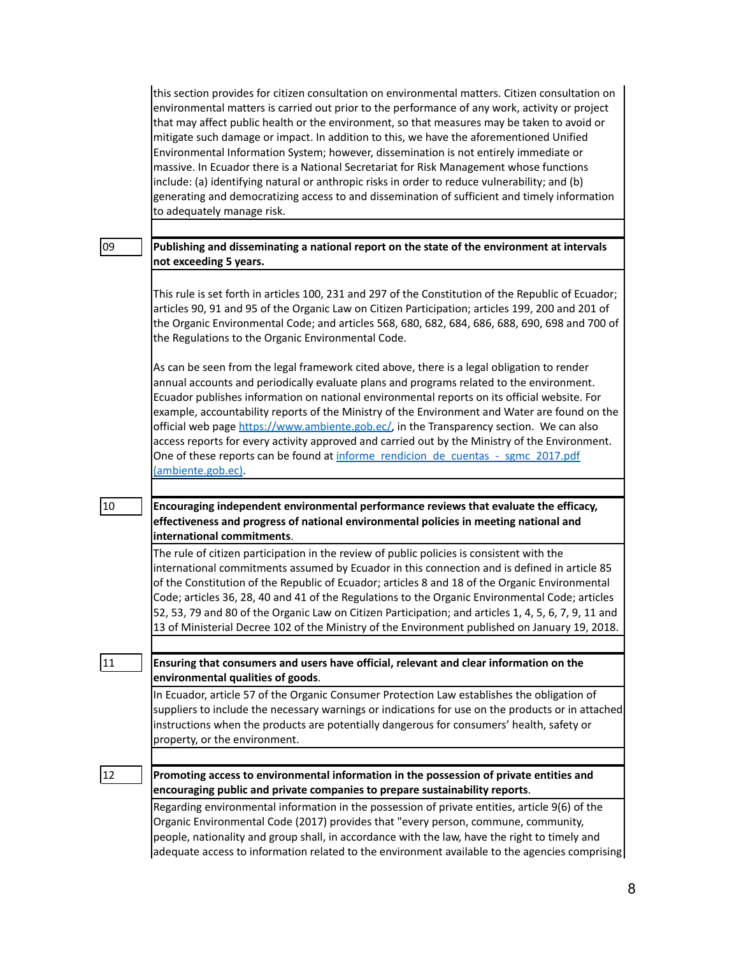|    | this section provides for citizen consultation on environmental matters. Citizen consultation on<br>environmental matters is carried out prior to the performance of any work, activity or project<br>that may affect public health or the environment, so that measures may be taken to avoid or<br>mitigate such damage or impact. In addition to this, we have the aforementioned Unified<br>Environmental Information System; however, dissemination is not entirely immediate or<br>massive. In Ecuador there is a National Secretariat for Risk Management whose functions<br>include: (a) identifying natural or anthropic risks in order to reduce vulnerability; and (b)<br>generating and democratizing access to and dissemination of sufficient and timely information<br>to adequately manage risk. |
|----|------------------------------------------------------------------------------------------------------------------------------------------------------------------------------------------------------------------------------------------------------------------------------------------------------------------------------------------------------------------------------------------------------------------------------------------------------------------------------------------------------------------------------------------------------------------------------------------------------------------------------------------------------------------------------------------------------------------------------------------------------------------------------------------------------------------|
| 09 | Publishing and disseminating a national report on the state of the environment at intervals<br>not exceeding 5 years.                                                                                                                                                                                                                                                                                                                                                                                                                                                                                                                                                                                                                                                                                            |
|    | This rule is set forth in articles 100, 231 and 297 of the Constitution of the Republic of Ecuador;<br>articles 90, 91 and 95 of the Organic Law on Citizen Participation; articles 199, 200 and 201 of<br>the Organic Environmental Code; and articles 568, 680, 682, 684, 686, 688, 690, 698 and 700 of<br>the Regulations to the Organic Environmental Code.                                                                                                                                                                                                                                                                                                                                                                                                                                                  |
|    | As can be seen from the legal framework cited above, there is a legal obligation to render<br>annual accounts and periodically evaluate plans and programs related to the environment.<br>Ecuador publishes information on national environmental reports on its official website. For<br>example, accountability reports of the Ministry of the Environment and Water are found on the<br>official web page https://www.ambiente.gob.ec/, in the Transparency section. We can also<br>access reports for every activity approved and carried out by the Ministry of the Environment.<br>One of these reports can be found at informe rendicion de cuentas - sgmc 2017.pdf<br>(ambiente.gob.ec).                                                                                                                 |
| 10 | Encouraging independent environmental performance reviews that evaluate the efficacy,                                                                                                                                                                                                                                                                                                                                                                                                                                                                                                                                                                                                                                                                                                                            |

**effectiveness and progress of national environmental policies in meeting national and international commitments**.

The rule of citizen participation in the review of public policies is consistent with the international commitments assumed by Ecuador in this connection and is defined in article 85 of the Constitution of the Republic of Ecuador; articles 8 and 18 of the Organic Environmental Code; articles 36, 28, 40 and 41 of the Regulations to the Organic Environmental Code; articles 52, 53, 79 and 80 of the Organic Law on Citizen Participation; and articles 1, 4, 5, 6, 7, 9, 11 and 13 of Ministerial Decree 102 of the Ministry of the Environment published on January 19, 2018.

# 11 **Ensuring that consumers and users have official, relevant and clear information on the environmental qualities of goods**.

In Ecuador, article 57 of the Organic Consumer Protection Law establishes the obligation of suppliers to include the necessary warnings or indications for use on the products or in attached instructions when the products are potentially dangerous for consumers' health, safety or property, or the environment.

### 12 **Promoting access to environmental information in the possession of private entities and encouraging public and private companies to prepare sustainability reports**.

Regarding environmental information in the possession of private entities, article 9(6) of the Organic Environmental Code (2017) provides that "every person, commune, community, people, nationality and group shall, in accordance with the law, have the right to timely and adequate access to information related to the environment available to the agencies comprising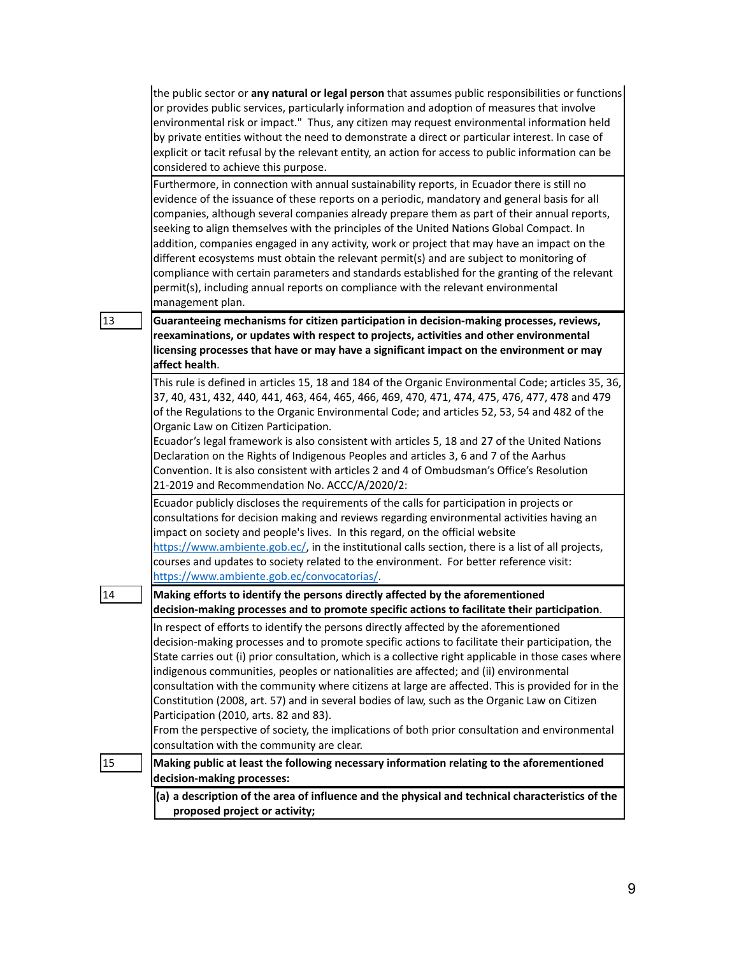| the public sector or <b>any natural or legal person</b> that assumes public responsibilities or functions |
|-----------------------------------------------------------------------------------------------------------|
| or provides public services, particularly information and adoption of measures that involve               |
| environmental risk or impact." Thus, any citizen may request environmental information held               |
| by private entities without the need to demonstrate a direct or particular interest. In case of           |
| explicit or tacit refusal by the relevant entity, an action for access to public information can be       |
| considered to achieve this purpose.                                                                       |

Furthermore, in connection with annual sustainability reports, in Ecuador there is still no evidence of the issuance of these reports on a periodic, mandatory and general basis for all companies, although several companies already prepare them as part of their annual reports, seeking to align themselves with the principles of the United Nations Global Compact. In addition, companies engaged in any activity, work or project that may have an impact on the different ecosystems must obtain the relevant permit(s) and are subject to monitoring of compliance with certain parameters and standards established for the granting of the relevant permit(s), including annual reports on compliance with the relevant environmental management plan.

13 **Guaranteeing mechanisms for citizen participation in decision-making processes, reviews, reexaminations, or updates with respect to projects, activities and other environmental licensing processes that have or may have a significant impact on the environment or may affect health**.

> This rule is defined in articles 15, 18 and 184 of the Organic Environmental Code; articles 35, 36, 37, 40, 431, 432, 440, 441, 463, 464, 465, 466, 469, 470, 471, 474, 475, 476, 477, 478 and 479 of the Regulations to the Organic Environmental Code; and articles 52, 53, 54 and 482 of the Organic Law on Citizen Participation.

Ecuador's legal framework is also consistent with articles 5, 18 and 27 of the United Nations Declaration on the Rights of Indigenous Peoples and articles 3, 6 and 7 of the Aarhus Convention. It is also consistent with articles 2 and 4 of Ombudsman's Office's Resolution 21-2019 and Recommendation No. ACCC/A/2020/2:

Ecuador publicly discloses the requirements of the calls for participation in projects or consultations for decision making and reviews regarding environmental activities having an impact on society and people's lives. In this regard, on the official website [https://www.ambiente.gob.ec/,](https://www.ambiente.gob.ec/) in the institutional calls section, there is a list of all projects, courses and updates to society related to the environment. For better reference visit:

<https://www.ambiente.gob.ec/convocatorias/>.

14 **Making efforts to identify the persons directly affected by the aforementioned decision-making processes and to promote specific actions to facilitate their participation**.

> In respect of efforts to identify the persons directly affected by the aforementioned decision-making processes and to promote specific actions to facilitate their participation, the State carries out (i) prior consultation, which is a collective right applicable in those cases where indigenous communities, peoples or nationalities are affected; and (ii) environmental consultation with the community where citizens at large are affected. This is provided for in the Constitution (2008, art. 57) and in several bodies of law, such as the Organic Law on Citizen Participation (2010, arts. 82 and 83).

> From the perspective of society, the implications of both prior consultation and environmental consultation with the community are clear.

15 **Making public at least the following necessary information relating to the aforementioned decision-making processes:**

> **(a) a description of the area of influence and the physical and technical characteristics of the proposed project or activity;**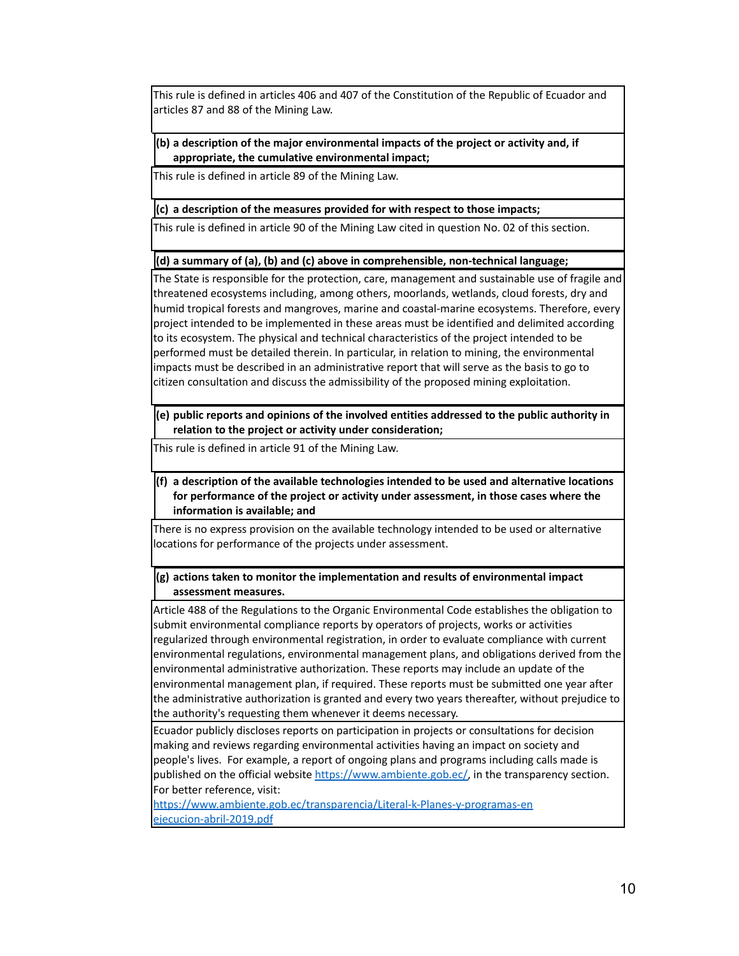This rule is defined in articles 406 and 407 of the Constitution of the Republic of Ecuador and articles 87 and 88 of the Mining Law.

#### **(b) a description of the major environmental impacts of the project or activity and, if appropriate, the cumulative environmental impact;**

This rule is defined in article 89 of the Mining Law.

#### **(c) a description of the measures provided for with respect to those impacts;**

This rule is defined in article 90 of the Mining Law cited in question No. 02 of this section.

#### **(d) a summary of (a), (b) and (c) above in comprehensible, non-technical language;**

The State is responsible for the protection, care, management and sustainable use of fragile and threatened ecosystems including, among others, moorlands, wetlands, cloud forests, dry and humid tropical forests and mangroves, marine and coastal-marine ecosystems. Therefore, every project intended to be implemented in these areas must be identified and delimited according to its ecosystem. The physical and technical characteristics of the project intended to be performed must be detailed therein. In particular, in relation to mining, the environmental impacts must be described in an administrative report that will serve as the basis to go to citizen consultation and discuss the admissibility of the proposed mining exploitation.

**(e) public reports and opinions of the involved entities addressed to the public authority in relation to the project or activity under consideration;**

This rule is defined in article 91 of the Mining Law.

# **(f) a description of the available technologies intended to be used and alternative locations for performance of the project or activity under assessment, in those cases where the information is available; and**

There is no express provision on the available technology intended to be used or alternative locations for performance of the projects under assessment.

### **(g) actions taken to monitor the implementation and results of environmental impact assessment measures.**

Article 488 of the Regulations to the Organic Environmental Code establishes the obligation to submit environmental compliance reports by operators of projects, works or activities regularized through environmental registration, in order to evaluate compliance with current environmental regulations, environmental management plans, and obligations derived from the environmental administrative authorization. These reports may include an update of the environmental management plan, if required. These reports must be submitted one year after the administrative authorization is granted and every two years thereafter, without prejudice to the authority's requesting them whenever it deems necessary.

Ecuador publicly discloses reports on participation in projects or consultations for decision making and reviews regarding environmental activities having an impact on society and people's lives. For example, a report of ongoing plans and programs including calls made is published on the official website [https://www.ambiente.gob.ec/,](https://www.ambiente.gob.ec/) in the transparency section. For better reference, visit:

[https://www.ambiente.gob.ec/transparencia/Literal-k-Planes-y-programas-en](https://www.ambiente.gob.ec/transparencia/Literal-k-Planes-y-programas-en%20ejecucion-abril-2019.pdf) [ejecucion-abril-2019.pdf](https://www.ambiente.gob.ec/transparencia/Literal-k-Planes-y-programas-en%20ejecucion-abril-2019.pdf)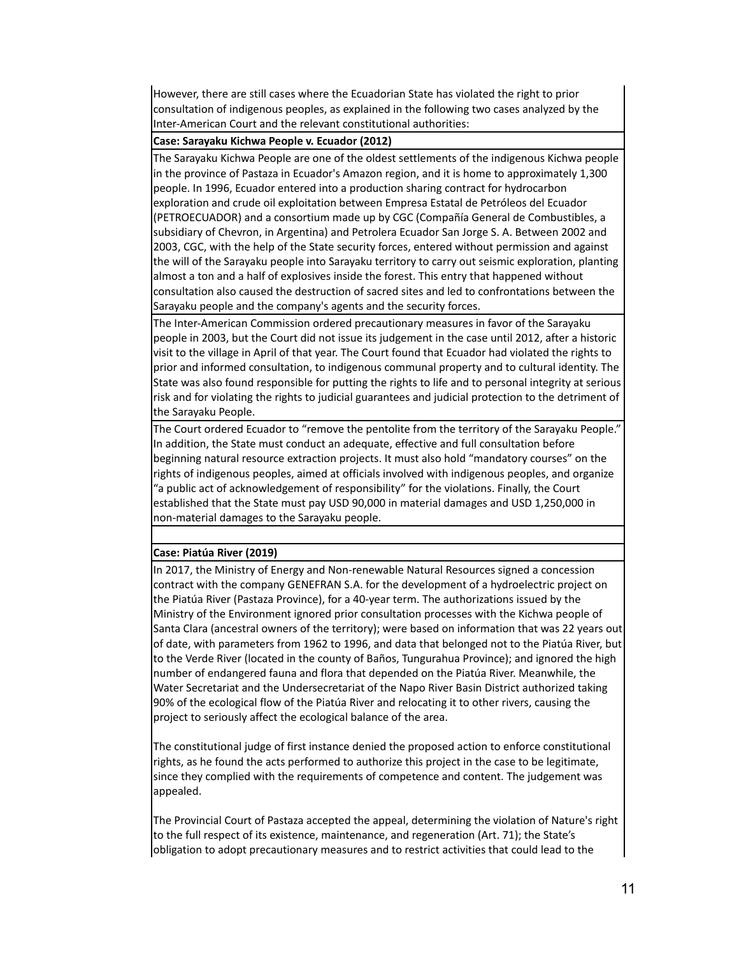However, there are still cases where the Ecuadorian State has violated the right to prior consultation of indigenous peoples, as explained in the following two cases analyzed by the Inter-American Court and the relevant constitutional authorities:

## **Case: Sarayaku Kichwa People v. Ecuador (2012)**

The Sarayaku Kichwa People are one of the oldest settlements of the indigenous Kichwa people in the province of Pastaza in Ecuador's Amazon region, and it is home to approximately 1,300 people. In 1996, Ecuador entered into a production sharing contract for hydrocarbon exploration and crude oil exploitation between Empresa Estatal de Petróleos del Ecuador (PETROECUADOR) and a consortium made up by CGC (Compañía General de Combustibles, a subsidiary of Chevron, in Argentina) and Petrolera Ecuador San Jorge S. A. Between 2002 and 2003, CGC, with the help of the State security forces, entered without permission and against the will of the Sarayaku people into Sarayaku territory to carry out seismic exploration, planting almost a ton and a half of explosives inside the forest. This entry that happened without consultation also caused the destruction of sacred sites and led to confrontations between the Sarayaku people and the company's agents and the security forces.

The Inter-American Commission ordered precautionary measures in favor of the Sarayaku people in 2003, but the Court did not issue its judgement in the case until 2012, after a historic visit to the village in April of that year. The Court found that Ecuador had violated the rights to prior and informed consultation, to indigenous communal property and to cultural identity. The State was also found responsible for putting the rights to life and to personal integrity at serious risk and for violating the rights to judicial guarantees and judicial protection to the detriment of the Sarayaku People.

The Court ordered Ecuador to "remove the pentolite from the territory of the Sarayaku People." In addition, the State must conduct an adequate, effective and full consultation before beginning natural resource extraction projects. It must also hold "mandatory courses" on the rights of indigenous peoples, aimed at officials involved with indigenous peoples, and organize "a public act of acknowledgement of responsibility" for the violations. Finally, the Court established that the State must pay USD 90,000 in material damages and USD 1,250,000 in non-material damages to the Sarayaku people.

#### **Case: Piatúa River (2019)**

In 2017, the Ministry of Energy and Non-renewable Natural Resources signed a concession contract with the company GENEFRAN S.A. for the development of a hydroelectric project on the Piatúa River (Pastaza Province), for a 40-year term. The authorizations issued by the Ministry of the Environment ignored prior consultation processes with the Kichwa people of Santa Clara (ancestral owners of the territory); were based on information that was 22 years out of date, with parameters from 1962 to 1996, and data that belonged not to the Piatúa River, but to the Verde River (located in the county of Baños, Tungurahua Province); and ignored the high number of endangered fauna and flora that depended on the Piatúa River. Meanwhile, the Water Secretariat and the Undersecretariat of the Napo River Basin District authorized taking 90% of the ecological flow of the Piatúa River and relocating it to other rivers, causing the project to seriously affect the ecological balance of the area.

The constitutional judge of first instance denied the proposed action to enforce constitutional rights, as he found the acts performed to authorize this project in the case to be legitimate, since they complied with the requirements of competence and content. The judgement was appealed.

The Provincial Court of Pastaza accepted the appeal, determining the violation of Nature's right to the full respect of its existence, maintenance, and regeneration (Art. 71); the State's obligation to adopt precautionary measures and to restrict activities that could lead to the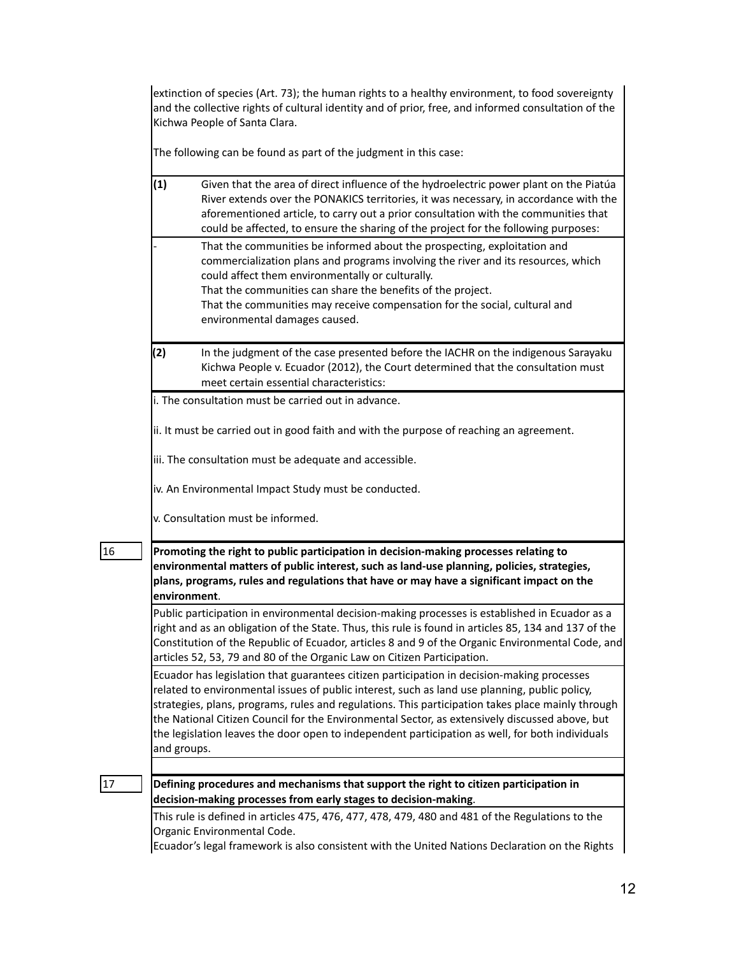extinction of species (Art. 73); the human rights to a healthy environment, to food sovereignty and the collective rights of cultural identity and of prior, free, and informed consultation of the Kichwa People of Santa Clara.

The following can be found as part of the judgment in this case:

| (1)         | Given that the area of direct influence of the hydroelectric power plant on the Piatúa<br>River extends over the PONAKICS territories, it was necessary, in accordance with the<br>aforementioned article, to carry out a prior consultation with the communities that<br>could be affected, to ensure the sharing of the project for the following purposes:                                                                                                                                         |
|-------------|-------------------------------------------------------------------------------------------------------------------------------------------------------------------------------------------------------------------------------------------------------------------------------------------------------------------------------------------------------------------------------------------------------------------------------------------------------------------------------------------------------|
|             | That the communities be informed about the prospecting, exploitation and<br>commercialization plans and programs involving the river and its resources, which<br>could affect them environmentally or culturally.<br>That the communities can share the benefits of the project.<br>That the communities may receive compensation for the social, cultural and<br>environmental damages caused.                                                                                                       |
| (2)         | In the judgment of the case presented before the IACHR on the indigenous Sarayaku<br>Kichwa People v. Ecuador (2012), the Court determined that the consultation must<br>meet certain essential characteristics:                                                                                                                                                                                                                                                                                      |
|             | i. The consultation must be carried out in advance.                                                                                                                                                                                                                                                                                                                                                                                                                                                   |
|             | ii. It must be carried out in good faith and with the purpose of reaching an agreement.                                                                                                                                                                                                                                                                                                                                                                                                               |
|             | iii. The consultation must be adequate and accessible.                                                                                                                                                                                                                                                                                                                                                                                                                                                |
|             | iv. An Environmental Impact Study must be conducted.                                                                                                                                                                                                                                                                                                                                                                                                                                                  |
|             | v. Consultation must be informed.                                                                                                                                                                                                                                                                                                                                                                                                                                                                     |
|             | Promoting the right to public participation in decision-making processes relating to<br>environmental matters of public interest, such as land-use planning, policies, strategies,<br>plans, programs, rules and regulations that have or may have a significant impact on the<br>environment.                                                                                                                                                                                                        |
|             | Public participation in environmental decision-making processes is established in Ecuador as a<br>right and as an obligation of the State. Thus, this rule is found in articles 85, 134 and 137 of the                                                                                                                                                                                                                                                                                                |
|             | articles 52, 53, 79 and 80 of the Organic Law on Citizen Participation.                                                                                                                                                                                                                                                                                                                                                                                                                               |
| and groups. | Ecuador has legislation that guarantees citizen participation in decision-making processes<br>related to environmental issues of public interest, such as land use planning, public policy,<br>strategies, plans, programs, rules and regulations. This participation takes place mainly through<br>the National Citizen Council for the Environmental Sector, as extensively discussed above, but<br>the legislation leaves the door open to independent participation as well, for both individuals |
|             |                                                                                                                                                                                                                                                                                                                                                                                                                                                                                                       |
|             | Constitution of the Republic of Ecuador, articles 8 and 9 of the Organic Environmental Code, and<br>Defining procedures and mechanisms that support the right to citizen participation in<br>decision-making processes from early stages to decision-making.                                                                                                                                                                                                                                          |

Ecuador's legal framework is also consistent with the United Nations Declaration on the Rights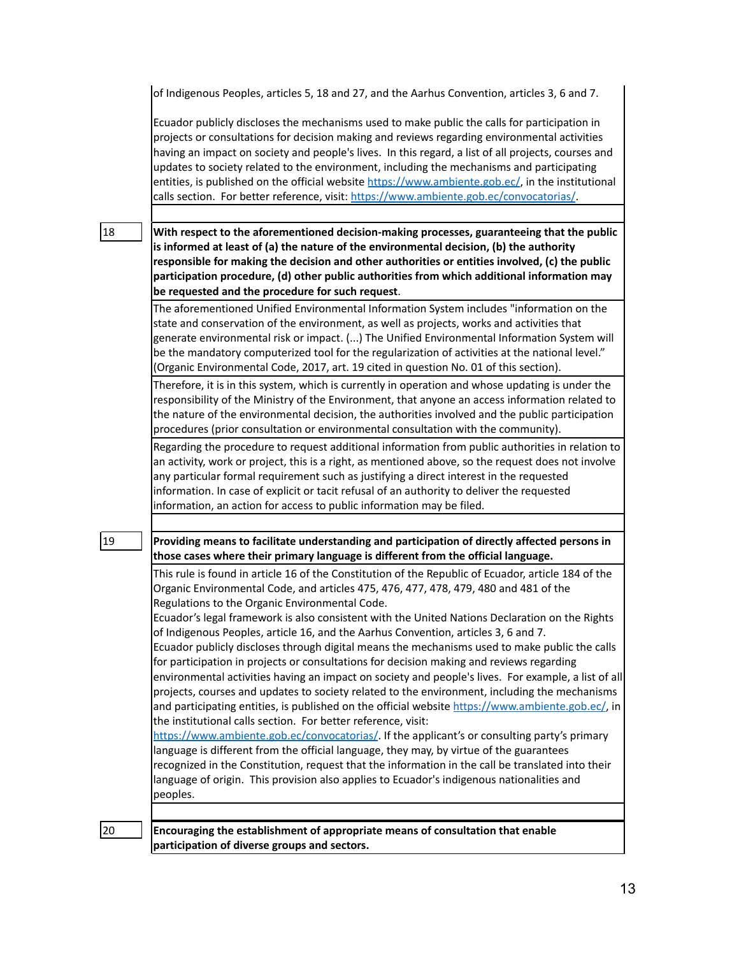|    | of Indigenous Peoples, articles 5, 18 and 27, and the Aarhus Convention, articles 3, 6 and 7.                                                                                                                                                                                                                                                                                                                                                                                                                                                                                                                                                                                                                                                                                                                                                                                                                                                                                                                                                                                                                                                                                                                                                                                                                                                                                                                             |
|----|---------------------------------------------------------------------------------------------------------------------------------------------------------------------------------------------------------------------------------------------------------------------------------------------------------------------------------------------------------------------------------------------------------------------------------------------------------------------------------------------------------------------------------------------------------------------------------------------------------------------------------------------------------------------------------------------------------------------------------------------------------------------------------------------------------------------------------------------------------------------------------------------------------------------------------------------------------------------------------------------------------------------------------------------------------------------------------------------------------------------------------------------------------------------------------------------------------------------------------------------------------------------------------------------------------------------------------------------------------------------------------------------------------------------------|
|    | Ecuador publicly discloses the mechanisms used to make public the calls for participation in<br>projects or consultations for decision making and reviews regarding environmental activities<br>having an impact on society and people's lives. In this regard, a list of all projects, courses and<br>updates to society related to the environment, including the mechanisms and participating<br>entities, is published on the official website https://www.ambiente.gob.ec/, in the institutional<br>calls section. For better reference, visit: https://www.ambiente.gob.ec/convocatorias/.                                                                                                                                                                                                                                                                                                                                                                                                                                                                                                                                                                                                                                                                                                                                                                                                                          |
|    |                                                                                                                                                                                                                                                                                                                                                                                                                                                                                                                                                                                                                                                                                                                                                                                                                                                                                                                                                                                                                                                                                                                                                                                                                                                                                                                                                                                                                           |
| 18 | With respect to the aforementioned decision-making processes, guaranteeing that the public<br>is informed at least of (a) the nature of the environmental decision, (b) the authority<br>responsible for making the decision and other authorities or entities involved, (c) the public<br>participation procedure, (d) other public authorities from which additional information may<br>be requested and the procedure for such request.                                                                                                                                                                                                                                                                                                                                                                                                                                                                                                                                                                                                                                                                                                                                                                                                                                                                                                                                                                                |
|    | The aforementioned Unified Environmental Information System includes "information on the<br>state and conservation of the environment, as well as projects, works and activities that<br>generate environmental risk or impact. () The Unified Environmental Information System will<br>be the mandatory computerized tool for the regularization of activities at the national level."<br>(Organic Environmental Code, 2017, art. 19 cited in question No. 01 of this section).                                                                                                                                                                                                                                                                                                                                                                                                                                                                                                                                                                                                                                                                                                                                                                                                                                                                                                                                          |
|    | Therefore, it is in this system, which is currently in operation and whose updating is under the<br>responsibility of the Ministry of the Environment, that anyone an access information related to<br>the nature of the environmental decision, the authorities involved and the public participation<br>procedures (prior consultation or environmental consultation with the community).                                                                                                                                                                                                                                                                                                                                                                                                                                                                                                                                                                                                                                                                                                                                                                                                                                                                                                                                                                                                                               |
|    | Regarding the procedure to request additional information from public authorities in relation to<br>an activity, work or project, this is a right, as mentioned above, so the request does not involve<br>any particular formal requirement such as justifying a direct interest in the requested<br>information. In case of explicit or tacit refusal of an authority to deliver the requested<br>information, an action for access to public information may be filed.                                                                                                                                                                                                                                                                                                                                                                                                                                                                                                                                                                                                                                                                                                                                                                                                                                                                                                                                                  |
|    |                                                                                                                                                                                                                                                                                                                                                                                                                                                                                                                                                                                                                                                                                                                                                                                                                                                                                                                                                                                                                                                                                                                                                                                                                                                                                                                                                                                                                           |
| 19 | Providing means to facilitate understanding and participation of directly affected persons in<br>those cases where their primary language is different from the official language.                                                                                                                                                                                                                                                                                                                                                                                                                                                                                                                                                                                                                                                                                                                                                                                                                                                                                                                                                                                                                                                                                                                                                                                                                                        |
|    | This rule is found in article 16 of the Constitution of the Republic of Ecuador, article 184 of the<br>Organic Environmental Code, and articles 475, 476, 477, 478, 479, 480 and 481 of the<br>Regulations to the Organic Environmental Code.<br>Ecuador's legal framework is also consistent with the United Nations Declaration on the Rights<br>of Indigenous Peoples, article 16, and the Aarhus Convention, articles 3, 6 and 7.<br>Ecuador publicly discloses through digital means the mechanisms used to make public the calls<br>for participation in projects or consultations for decision making and reviews regarding<br>environmental activities having an impact on society and people's lives. For example, a list of all<br>projects, courses and updates to society related to the environment, including the mechanisms<br>and participating entities, is published on the official website https://www.ambiente.gob.ec/, in<br>the institutional calls section. For better reference, visit:<br>https://www.ambiente.gob.ec/convocatorias/. If the applicant's or consulting party's primary<br>language is different from the official language, they may, by virtue of the guarantees<br>recognized in the Constitution, request that the information in the call be translated into their<br>language of origin. This provision also applies to Ecuador's indigenous nationalities and<br>peoples. |
| 20 | Encouraging the establishment of appropriate means of consultation that enable<br>participation of diverse groups and sectors.                                                                                                                                                                                                                                                                                                                                                                                                                                                                                                                                                                                                                                                                                                                                                                                                                                                                                                                                                                                                                                                                                                                                                                                                                                                                                            |
|    |                                                                                                                                                                                                                                                                                                                                                                                                                                                                                                                                                                                                                                                                                                                                                                                                                                                                                                                                                                                                                                                                                                                                                                                                                                                                                                                                                                                                                           |

13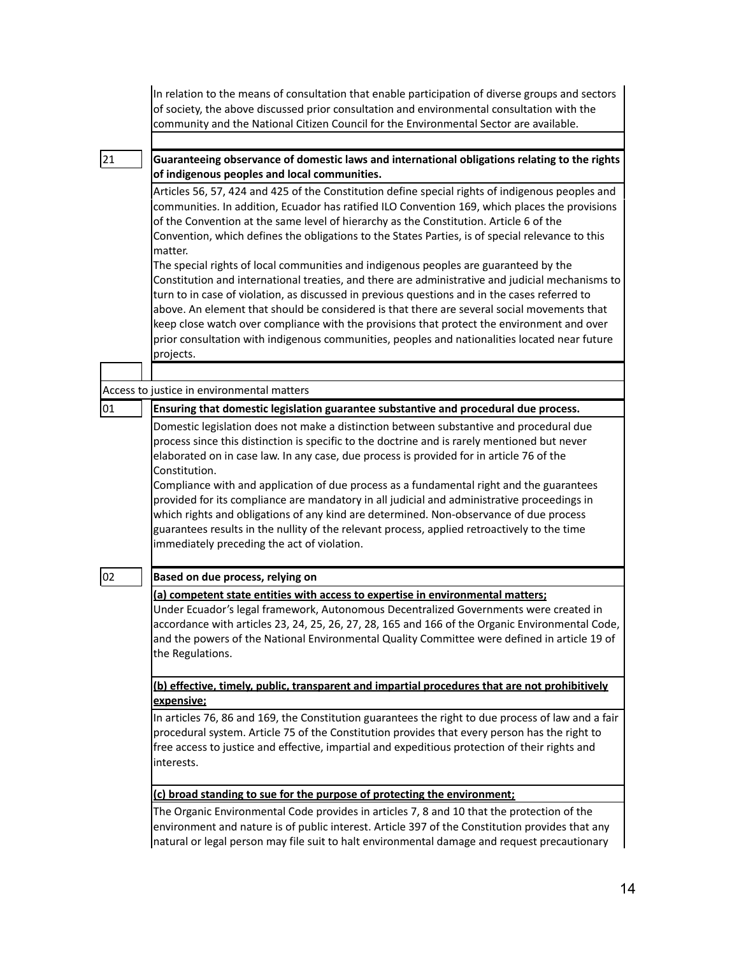|    | In relation to the means of consultation that enable participation of diverse groups and sectors<br>of society, the above discussed prior consultation and environmental consultation with the<br>community and the National Citizen Council for the Environmental Sector are available.                                                                                                                                                                                                                                                                                                                                                                                                                                                 |
|----|------------------------------------------------------------------------------------------------------------------------------------------------------------------------------------------------------------------------------------------------------------------------------------------------------------------------------------------------------------------------------------------------------------------------------------------------------------------------------------------------------------------------------------------------------------------------------------------------------------------------------------------------------------------------------------------------------------------------------------------|
| 21 | Guaranteeing observance of domestic laws and international obligations relating to the rights<br>of indigenous peoples and local communities.                                                                                                                                                                                                                                                                                                                                                                                                                                                                                                                                                                                            |
|    | Articles 56, 57, 424 and 425 of the Constitution define special rights of indigenous peoples and<br>communities. In addition, Ecuador has ratified ILO Convention 169, which places the provisions<br>of the Convention at the same level of hierarchy as the Constitution. Article 6 of the<br>Convention, which defines the obligations to the States Parties, is of special relevance to this<br>matter.                                                                                                                                                                                                                                                                                                                              |
|    | The special rights of local communities and indigenous peoples are guaranteed by the<br>Constitution and international treaties, and there are administrative and judicial mechanisms to<br>turn to in case of violation, as discussed in previous questions and in the cases referred to<br>above. An element that should be considered is that there are several social movements that<br>keep close watch over compliance with the provisions that protect the environment and over<br>prior consultation with indigenous communities, peoples and nationalities located near future<br>projects.                                                                                                                                     |
|    |                                                                                                                                                                                                                                                                                                                                                                                                                                                                                                                                                                                                                                                                                                                                          |
|    | Access to justice in environmental matters                                                                                                                                                                                                                                                                                                                                                                                                                                                                                                                                                                                                                                                                                               |
|    | Domestic legislation does not make a distinction between substantive and procedural due<br>process since this distinction is specific to the doctrine and is rarely mentioned but never<br>elaborated on in case law. In any case, due process is provided for in article 76 of the<br>Constitution.<br>Compliance with and application of due process as a fundamental right and the guarantees<br>provided for its compliance are mandatory in all judicial and administrative proceedings in<br>which rights and obligations of any kind are determined. Non-observance of due process<br>guarantees results in the nullity of the relevant process, applied retroactively to the time<br>immediately preceding the act of violation. |
| 02 | Based on due process, relying on                                                                                                                                                                                                                                                                                                                                                                                                                                                                                                                                                                                                                                                                                                         |
|    | (a) competent state entities with access to expertise in environmental matters;<br>Under Ecuador's legal framework, Autonomous Decentralized Governments were created in<br>accordance with articles 23, 24, 25, 26, 27, 28, 165 and 166 of the Organic Environmental Code,<br>and the powers of the National Environmental Quality Committee were defined in article 19 of<br>the Regulations.                                                                                                                                                                                                                                                                                                                                          |
|    | (b) effective, timely, public, transparent and impartial procedures that are not prohibitively                                                                                                                                                                                                                                                                                                                                                                                                                                                                                                                                                                                                                                           |
|    | expensive;                                                                                                                                                                                                                                                                                                                                                                                                                                                                                                                                                                                                                                                                                                                               |
|    | In articles 76, 86 and 169, the Constitution guarantees the right to due process of law and a fair<br>procedural system. Article 75 of the Constitution provides that every person has the right to<br>free access to justice and effective, impartial and expeditious protection of their rights and<br>interests.                                                                                                                                                                                                                                                                                                                                                                                                                      |
|    | (c) broad standing to sue for the purpose of protecting the environment;                                                                                                                                                                                                                                                                                                                                                                                                                                                                                                                                                                                                                                                                 |
|    | The Organic Environmental Code provides in articles 7, 8 and 10 that the protection of the<br>environment and nature is of public interest. Article 397 of the Constitution provides that any<br>natural or legal person may file suit to halt environmental damage and request precautionary                                                                                                                                                                                                                                                                                                                                                                                                                                            |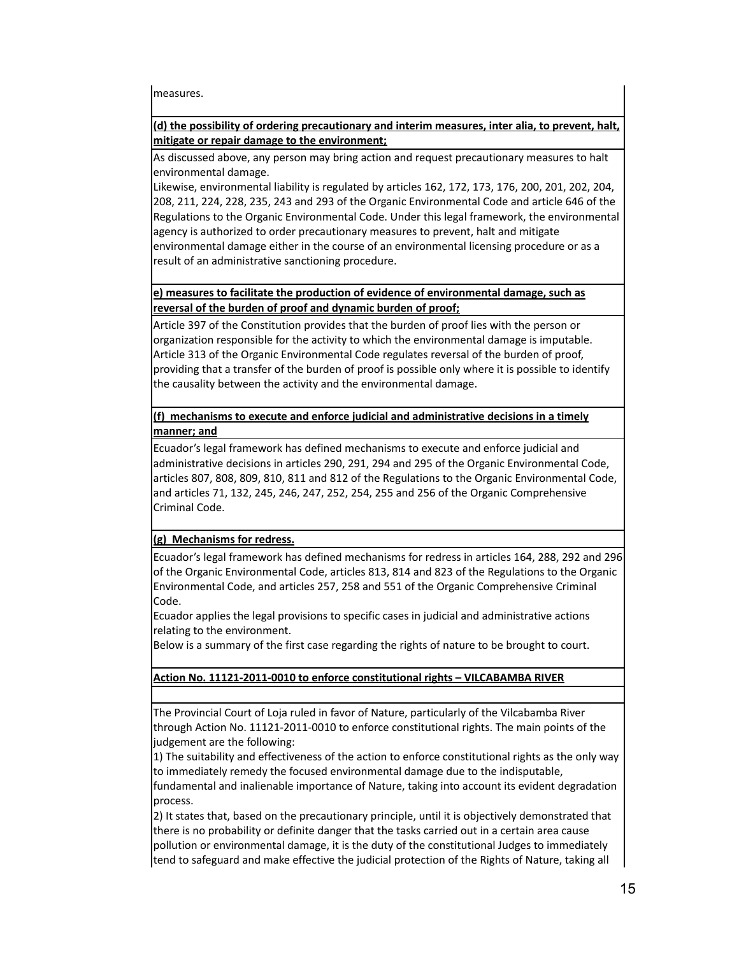measures.

# **(d) the possibility of ordering precautionary and interim measures, inter alia, to prevent, halt, mitigate or repair damage to the environment;**

As discussed above, any person may bring action and request precautionary measures to halt environmental damage.

Likewise, environmental liability is regulated by articles 162, 172, 173, 176, 200, 201, 202, 204, 208, 211, 224, 228, 235, 243 and 293 of the Organic Environmental Code and article 646 of the Regulations to the Organic Environmental Code. Under this legal framework, the environmental agency is authorized to order precautionary measures to prevent, halt and mitigate environmental damage either in the course of an environmental licensing procedure or as a result of an administrative sanctioning procedure.

# **e) measures to facilitate the production of evidence of environmental damage, such as reversal of the burden of proof and dynamic burden of proof;**

Article 397 of the Constitution provides that the burden of proof lies with the person or organization responsible for the activity to which the environmental damage is imputable. Article 313 of the Organic Environmental Code regulates reversal of the burden of proof, providing that a transfer of the burden of proof is possible only where it is possible to identify the causality between the activity and the environmental damage.

# **(f) mechanisms to execute and enforce judicial and administrative decisions in a timely manner; and**

Ecuador's legal framework has defined mechanisms to execute and enforce judicial and administrative decisions in articles 290, 291, 294 and 295 of the Organic Environmental Code, articles 807, 808, 809, 810, 811 and 812 of the Regulations to the Organic Environmental Code, and articles 71, 132, 245, 246, 247, 252, 254, 255 and 256 of the Organic Comprehensive Criminal Code.

## **(g) Mechanisms for redress.**

Ecuador's legal framework has defined mechanisms for redress in articles 164, 288, 292 and 296 of the Organic Environmental Code, articles 813, 814 and 823 of the Regulations to the Organic Environmental Code, and articles 257, 258 and 551 of the Organic Comprehensive Criminal Code.

Ecuador applies the legal provisions to specific cases in judicial and administrative actions relating to the environment.

Below is a summary of the first case regarding the rights of nature to be brought to court.

# **Action No. 11121-2011-0010 to enforce constitutional rights – VILCABAMBA RIVER**

The Provincial Court of Loja ruled in favor of Nature, particularly of the Vilcabamba River through Action No. 11121-2011-0010 to enforce constitutional rights. The main points of the judgement are the following:

1) The suitability and effectiveness of the action to enforce constitutional rights as the only way to immediately remedy the focused environmental damage due to the indisputable,

fundamental and inalienable importance of Nature, taking into account its evident degradation process.

2) It states that, based on the precautionary principle, until it is objectively demonstrated that there is no probability or definite danger that the tasks carried out in a certain area cause pollution or environmental damage, it is the duty of the constitutional Judges to immediately tend to safeguard and make effective the judicial protection of the Rights of Nature, taking all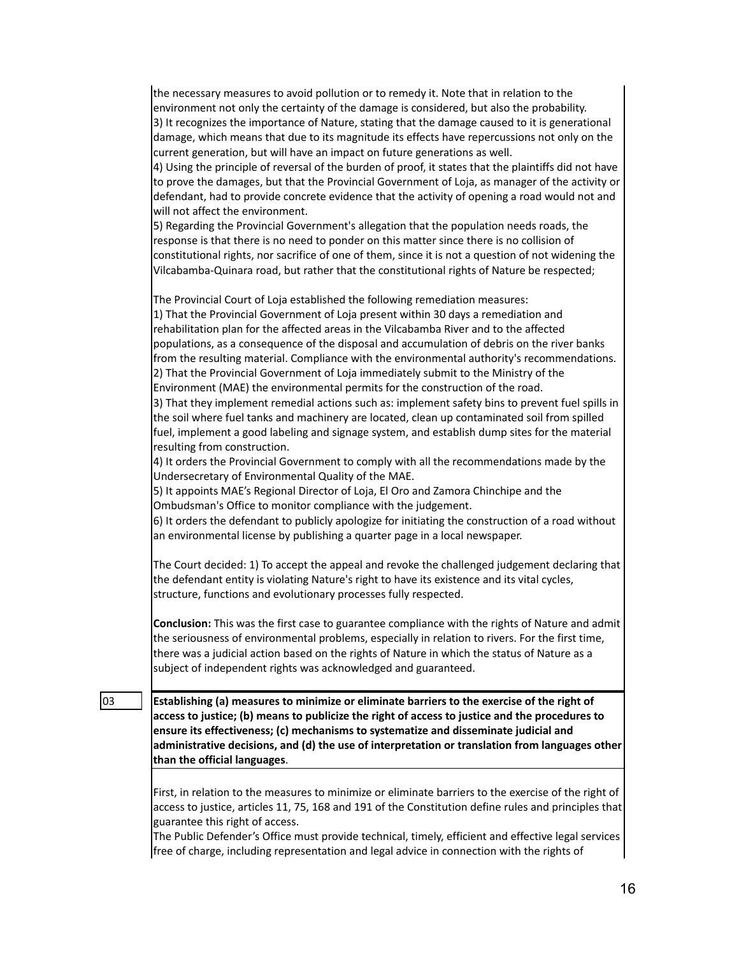|    | the necessary measures to avoid pollution or to remedy it. Note that in relation to the<br>environment not only the certainty of the damage is considered, but also the probability.<br>3) It recognizes the importance of Nature, stating that the damage caused to it is generational<br>damage, which means that due to its magnitude its effects have repercussions not only on the |
|----|-----------------------------------------------------------------------------------------------------------------------------------------------------------------------------------------------------------------------------------------------------------------------------------------------------------------------------------------------------------------------------------------|
|    | current generation, but will have an impact on future generations as well.<br>4) Using the principle of reversal of the burden of proof, it states that the plaintiffs did not have<br>to prove the damages, but that the Provincial Government of Loja, as manager of the activity or                                                                                                  |
|    | defendant, had to provide concrete evidence that the activity of opening a road would not and<br>will not affect the environment.                                                                                                                                                                                                                                                       |
|    | 5) Regarding the Provincial Government's allegation that the population needs roads, the<br>response is that there is no need to ponder on this matter since there is no collision of                                                                                                                                                                                                   |
|    | constitutional rights, nor sacrifice of one of them, since it is not a question of not widening the<br>Vilcabamba-Quinara road, but rather that the constitutional rights of Nature be respected;                                                                                                                                                                                       |
|    | The Provincial Court of Loja established the following remediation measures:<br>1) That the Provincial Government of Loja present within 30 days a remediation and<br>rehabilitation plan for the affected areas in the Vilcabamba River and to the affected<br>populations, as a consequence of the disposal and accumulation of debris on the river banks                             |
|    | from the resulting material. Compliance with the environmental authority's recommendations.<br>2) That the Provincial Government of Loja immediately submit to the Ministry of the                                                                                                                                                                                                      |
|    | Environment (MAE) the environmental permits for the construction of the road.<br>3) That they implement remedial actions such as: implement safety bins to prevent fuel spills in<br>the soil where fuel tanks and machinery are located, clean up contaminated soil from spilled                                                                                                       |
|    | fuel, implement a good labeling and signage system, and establish dump sites for the material<br>resulting from construction.                                                                                                                                                                                                                                                           |
|    | 4) It orders the Provincial Government to comply with all the recommendations made by the<br>Undersecretary of Environmental Quality of the MAE.<br>5) It appoints MAE's Regional Director of Loja, El Oro and Zamora Chinchipe and the                                                                                                                                                 |
|    | Ombudsman's Office to monitor compliance with the judgement.<br>6) It orders the defendant to publicly apologize for initiating the construction of a road without<br>an environmental license by publishing a quarter page in a local newspaper.                                                                                                                                       |
|    | The Court decided: 1) To accept the appeal and revoke the challenged judgement declaring that<br>the defendant entity is violating Nature's right to have its existence and its vital cycles,<br>structure, functions and evolutionary processes fully respected.                                                                                                                       |
|    | <b>Conclusion:</b> This was the first case to guarantee compliance with the rights of Nature and admit<br>the seriousness of environmental problems, especially in relation to rivers. For the first time,<br>there was a judicial action based on the rights of Nature in which the status of Nature as a<br>subject of independent rights was acknowledged and guaranteed.            |
| 03 | Establishing (a) measures to minimize or eliminate barriers to the exercise of the right of<br>access to justice; (b) means to publicize the right of access to justice and the procedures to                                                                                                                                                                                           |
|    | ensure its effectiveness; (c) mechanisms to systematize and disseminate judicial and<br>administrative decisions, and (d) the use of interpretation or translation from languages other<br>than the official languages.                                                                                                                                                                 |
|    | First, in relation to the measures to minimize or eliminate barriers to the exercise of the right of<br>access to justice, articles 11, 75, 168 and 191 of the Constitution define rules and principles that                                                                                                                                                                            |
|    | guarantee this right of access.<br>The Public Defender's Office must provide technical, timely, efficient and effective legal services<br>free of charge, including representation and legal advice in connection with the rights of                                                                                                                                                    |
|    |                                                                                                                                                                                                                                                                                                                                                                                         |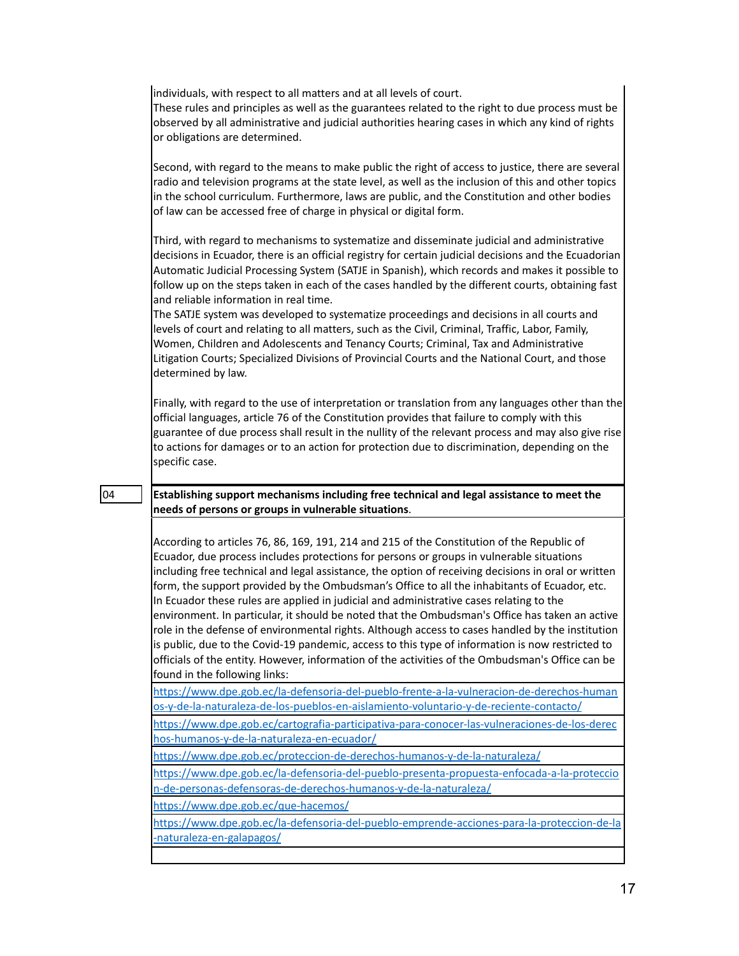| individuals, with respect to all matters and at all levels of court.<br>These rules and principles as well as the guarantees related to the right to due process must be<br>observed by all administrative and judicial authorities hearing cases in which any kind of rights<br>or obligations are determined.                                                                                                                                                                                                                                                                                                                                                                                                                                                                                                                                                                                                                         |
|-----------------------------------------------------------------------------------------------------------------------------------------------------------------------------------------------------------------------------------------------------------------------------------------------------------------------------------------------------------------------------------------------------------------------------------------------------------------------------------------------------------------------------------------------------------------------------------------------------------------------------------------------------------------------------------------------------------------------------------------------------------------------------------------------------------------------------------------------------------------------------------------------------------------------------------------|
| Second, with regard to the means to make public the right of access to justice, there are several<br>radio and television programs at the state level, as well as the inclusion of this and other topics<br>in the school curriculum. Furthermore, laws are public, and the Constitution and other bodies<br>of law can be accessed free of charge in physical or digital form.                                                                                                                                                                                                                                                                                                                                                                                                                                                                                                                                                         |
| Third, with regard to mechanisms to systematize and disseminate judicial and administrative<br>decisions in Ecuador, there is an official registry for certain judicial decisions and the Ecuadorian<br>Automatic Judicial Processing System (SATJE in Spanish), which records and makes it possible to<br>follow up on the steps taken in each of the cases handled by the different courts, obtaining fast<br>and reliable information in real time.<br>The SATJE system was developed to systematize proceedings and decisions in all courts and<br>levels of court and relating to all matters, such as the Civil, Criminal, Traffic, Labor, Family,<br>Women, Children and Adolescents and Tenancy Courts; Criminal, Tax and Administrative<br>Litigation Courts; Specialized Divisions of Provincial Courts and the National Court, and those<br>determined by law.                                                               |
| Finally, with regard to the use of interpretation or translation from any languages other than the<br>official languages, article 76 of the Constitution provides that failure to comply with this<br>guarantee of due process shall result in the nullity of the relevant process and may also give rise<br>to actions for damages or to an action for protection due to discrimination, depending on the<br>specific case.                                                                                                                                                                                                                                                                                                                                                                                                                                                                                                            |
| Establishing support mechanisms including free technical and legal assistance to meet the<br>needs of persons or groups in vulnerable situations.                                                                                                                                                                                                                                                                                                                                                                                                                                                                                                                                                                                                                                                                                                                                                                                       |
|                                                                                                                                                                                                                                                                                                                                                                                                                                                                                                                                                                                                                                                                                                                                                                                                                                                                                                                                         |
| According to articles 76, 86, 169, 191, 214 and 215 of the Constitution of the Republic of<br>Ecuador, due process includes protections for persons or groups in vulnerable situations<br>including free technical and legal assistance, the option of receiving decisions in oral or written<br>form, the support provided by the Ombudsman's Office to all the inhabitants of Ecuador, etc.<br>In Ecuador these rules are applied in judicial and administrative cases relating to the<br>environment. In particular, it should be noted that the Ombudsman's Office has taken an active<br>role in the defense of environmental rights. Although access to cases handled by the institution<br>is public, due to the Covid-19 pandemic, access to this type of information is now restricted to<br>officials of the entity. However, information of the activities of the Ombudsman's Office can be<br>found in the following links: |
| https://www.dpe.gob.ec/la-defensoria-del-pueblo-frente-a-la-vulneracion-de-derechos-human<br>os-y-de-la-naturaleza-de-los-pueblos-en-aislamiento-voluntario-y-de-reciente-contacto/                                                                                                                                                                                                                                                                                                                                                                                                                                                                                                                                                                                                                                                                                                                                                     |
| https://www.dpe.gob.ec/cartografia-participativa-para-conocer-las-vulneraciones-de-los-derec<br>hos-humanos-y-de-la-naturaleza-en-ecuador/                                                                                                                                                                                                                                                                                                                                                                                                                                                                                                                                                                                                                                                                                                                                                                                              |
| https://www.dpe.gob.ec/proteccion-de-derechos-humanos-y-de-la-naturaleza/                                                                                                                                                                                                                                                                                                                                                                                                                                                                                                                                                                                                                                                                                                                                                                                                                                                               |
| https://www.dpe.gob.ec/la-defensoria-del-pueblo-presenta-propuesta-enfocada-a-la-proteccio                                                                                                                                                                                                                                                                                                                                                                                                                                                                                                                                                                                                                                                                                                                                                                                                                                              |
| n-de-personas-defensoras-de-derechos-humanos-y-de-la-naturaleza/<br>https://www.dpe.gob.ec/que-hacemos/                                                                                                                                                                                                                                                                                                                                                                                                                                                                                                                                                                                                                                                                                                                                                                                                                                 |
| https://www.dpe.gob.ec/la-defensoria-del-pueblo-emprende-acciones-para-la-proteccion-de-la                                                                                                                                                                                                                                                                                                                                                                                                                                                                                                                                                                                                                                                                                                                                                                                                                                              |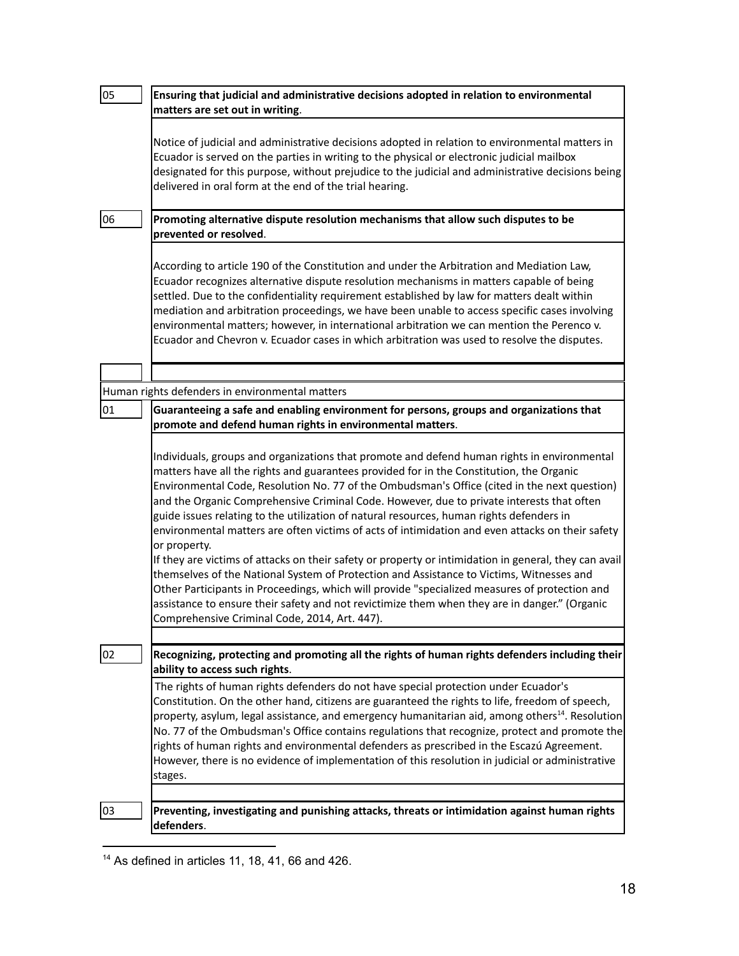| 05 | Ensuring that judicial and administrative decisions adopted in relation to environmental<br>matters are set out in writing.                                                                                                                                                                                                                                                                                                                                                                                                                                                                                                                                                                                                                                                                                                                                                                                                                                                                                                                                  |
|----|--------------------------------------------------------------------------------------------------------------------------------------------------------------------------------------------------------------------------------------------------------------------------------------------------------------------------------------------------------------------------------------------------------------------------------------------------------------------------------------------------------------------------------------------------------------------------------------------------------------------------------------------------------------------------------------------------------------------------------------------------------------------------------------------------------------------------------------------------------------------------------------------------------------------------------------------------------------------------------------------------------------------------------------------------------------|
|    | Notice of judicial and administrative decisions adopted in relation to environmental matters in<br>Ecuador is served on the parties in writing to the physical or electronic judicial mailbox<br>designated for this purpose, without prejudice to the judicial and administrative decisions being<br>delivered in oral form at the end of the trial hearing.                                                                                                                                                                                                                                                                                                                                                                                                                                                                                                                                                                                                                                                                                                |
| 06 | Promoting alternative dispute resolution mechanisms that allow such disputes to be<br>prevented or resolved.                                                                                                                                                                                                                                                                                                                                                                                                                                                                                                                                                                                                                                                                                                                                                                                                                                                                                                                                                 |
|    | According to article 190 of the Constitution and under the Arbitration and Mediation Law,<br>Ecuador recognizes alternative dispute resolution mechanisms in matters capable of being<br>settled. Due to the confidentiality requirement established by law for matters dealt within<br>mediation and arbitration proceedings, we have been unable to access specific cases involving<br>environmental matters; however, in international arbitration we can mention the Perenco v.<br>Ecuador and Chevron v. Ecuador cases in which arbitration was used to resolve the disputes.                                                                                                                                                                                                                                                                                                                                                                                                                                                                           |
|    |                                                                                                                                                                                                                                                                                                                                                                                                                                                                                                                                                                                                                                                                                                                                                                                                                                                                                                                                                                                                                                                              |
|    | Human rights defenders in environmental matters                                                                                                                                                                                                                                                                                                                                                                                                                                                                                                                                                                                                                                                                                                                                                                                                                                                                                                                                                                                                              |
| 01 | Guaranteeing a safe and enabling environment for persons, groups and organizations that<br>promote and defend human rights in environmental matters.                                                                                                                                                                                                                                                                                                                                                                                                                                                                                                                                                                                                                                                                                                                                                                                                                                                                                                         |
|    | Individuals, groups and organizations that promote and defend human rights in environmental<br>matters have all the rights and guarantees provided for in the Constitution, the Organic<br>Environmental Code, Resolution No. 77 of the Ombudsman's Office (cited in the next question)<br>and the Organic Comprehensive Criminal Code. However, due to private interests that often<br>guide issues relating to the utilization of natural resources, human rights defenders in<br>environmental matters are often victims of acts of intimidation and even attacks on their safety<br>or property.<br>If they are victims of attacks on their safety or property or intimidation in general, they can avail<br>themselves of the National System of Protection and Assistance to Victims, Witnesses and<br>Other Participants in Proceedings, which will provide "specialized measures of protection and<br>assistance to ensure their safety and not revictimize them when they are in danger." (Organic<br>Comprehensive Criminal Code, 2014, Art. 447). |
|    |                                                                                                                                                                                                                                                                                                                                                                                                                                                                                                                                                                                                                                                                                                                                                                                                                                                                                                                                                                                                                                                              |
| 02 | Recognizing, protecting and promoting all the rights of human rights defenders including their<br>ability to access such rights.                                                                                                                                                                                                                                                                                                                                                                                                                                                                                                                                                                                                                                                                                                                                                                                                                                                                                                                             |
|    | The rights of human rights defenders do not have special protection under Ecuador's<br>Constitution. On the other hand, citizens are guaranteed the rights to life, freedom of speech,<br>property, asylum, legal assistance, and emergency humanitarian aid, among others <sup>14</sup> . Resolution<br>No. 77 of the Ombudsman's Office contains regulations that recognize, protect and promote the<br>rights of human rights and environmental defenders as prescribed in the Escazú Agreement.<br>However, there is no evidence of implementation of this resolution in judicial or administrative<br>stages.                                                                                                                                                                                                                                                                                                                                                                                                                                           |
|    |                                                                                                                                                                                                                                                                                                                                                                                                                                                                                                                                                                                                                                                                                                                                                                                                                                                                                                                                                                                                                                                              |
| 03 | Preventing, investigating and punishing attacks, threats or intimidation against human rights<br>defenders.                                                                                                                                                                                                                                                                                                                                                                                                                                                                                                                                                                                                                                                                                                                                                                                                                                                                                                                                                  |

 $14$  As defined in articles 11, 18, 41, 66 and 426.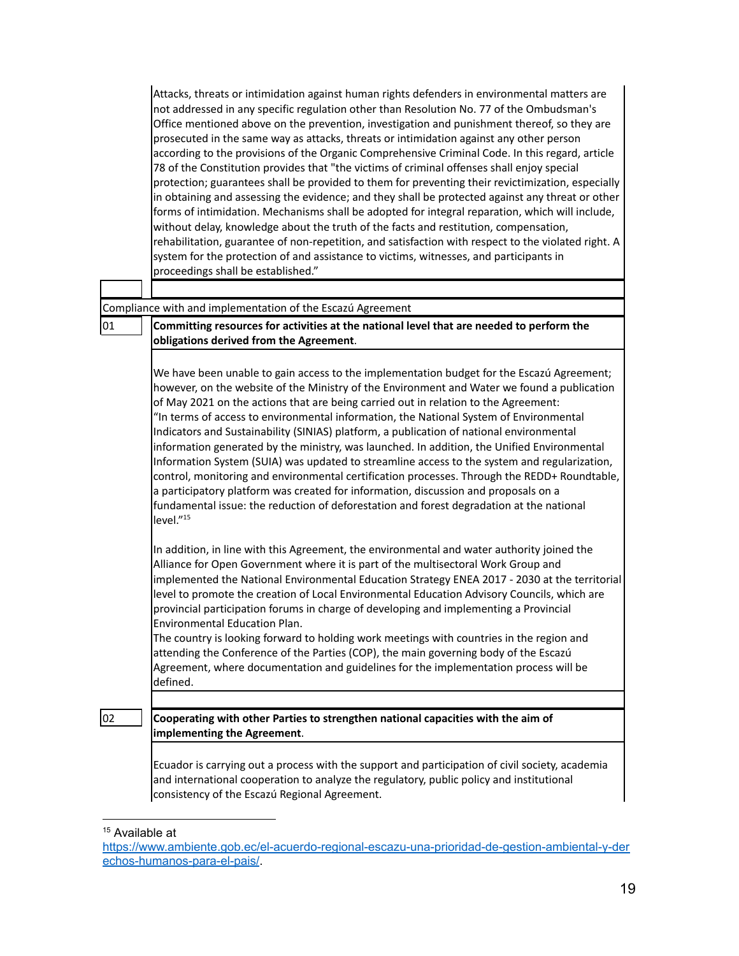|    | Attacks, threats or intimidation against human rights defenders in environmental matters are<br>not addressed in any specific regulation other than Resolution No. 77 of the Ombudsman's<br>Office mentioned above on the prevention, investigation and punishment thereof, so they are<br>prosecuted in the same way as attacks, threats or intimidation against any other person<br>according to the provisions of the Organic Comprehensive Criminal Code. In this regard, article<br>78 of the Constitution provides that "the victims of criminal offenses shall enjoy special<br>protection; guarantees shall be provided to them for preventing their revictimization, especially<br>in obtaining and assessing the evidence; and they shall be protected against any threat or other<br>forms of intimidation. Mechanisms shall be adopted for integral reparation, which will include,<br>without delay, knowledge about the truth of the facts and restitution, compensation,<br>rehabilitation, guarantee of non-repetition, and satisfaction with respect to the violated right. A<br>system for the protection of and assistance to victims, witnesses, and participants in<br>proceedings shall be established." |
|----|--------------------------------------------------------------------------------------------------------------------------------------------------------------------------------------------------------------------------------------------------------------------------------------------------------------------------------------------------------------------------------------------------------------------------------------------------------------------------------------------------------------------------------------------------------------------------------------------------------------------------------------------------------------------------------------------------------------------------------------------------------------------------------------------------------------------------------------------------------------------------------------------------------------------------------------------------------------------------------------------------------------------------------------------------------------------------------------------------------------------------------------------------------------------------------------------------------------------------------|
|    |                                                                                                                                                                                                                                                                                                                                                                                                                                                                                                                                                                                                                                                                                                                                                                                                                                                                                                                                                                                                                                                                                                                                                                                                                                |
| 01 | Compliance with and implementation of the Escazú Agreement<br>Committing resources for activities at the national level that are needed to perform the<br>obligations derived from the Agreement.                                                                                                                                                                                                                                                                                                                                                                                                                                                                                                                                                                                                                                                                                                                                                                                                                                                                                                                                                                                                                              |
|    | We have been unable to gain access to the implementation budget for the Escazú Agreement;<br>however, on the website of the Ministry of the Environment and Water we found a publication<br>of May 2021 on the actions that are being carried out in relation to the Agreement:<br>"In terms of access to environmental information, the National System of Environmental<br>Indicators and Sustainability (SINIAS) platform, a publication of national environmental<br>information generated by the ministry, was launched. In addition, the Unified Environmental<br>Information System (SUIA) was updated to streamline access to the system and regularization,<br>control, monitoring and environmental certification processes. Through the REDD+ Roundtable,<br>a participatory platform was created for information, discussion and proposals on a<br>fundamental issue: the reduction of deforestation and forest degradation at the national<br>level." <sup>15</sup>                                                                                                                                                                                                                                               |
|    | In addition, in line with this Agreement, the environmental and water authority joined the<br>Alliance for Open Government where it is part of the multisectoral Work Group and<br>implemented the National Environmental Education Strategy ENEA 2017 - 2030 at the territorial<br>level to promote the creation of Local Environmental Education Advisory Councils, which are<br>provincial participation forums in charge of developing and implementing a Provincial<br>Environmental Education Plan.<br>The country is looking forward to holding work meetings with countries in the region and<br>attending the Conference of the Parties (COP), the main governing body of the Escazú<br>Agreement, where documentation and guidelines for the implementation process will be<br>defined.                                                                                                                                                                                                                                                                                                                                                                                                                              |
|    |                                                                                                                                                                                                                                                                                                                                                                                                                                                                                                                                                                                                                                                                                                                                                                                                                                                                                                                                                                                                                                                                                                                                                                                                                                |
| 02 | Cooperating with other Parties to strengthen national capacities with the aim of<br>implementing the Agreement.                                                                                                                                                                                                                                                                                                                                                                                                                                                                                                                                                                                                                                                                                                                                                                                                                                                                                                                                                                                                                                                                                                                |
|    | Ecuador is carrying out a process with the support and participation of civil society, academia<br>and international cooperation to analyze the regulatory, public policy and institutional<br>consistency of the Escazú Regional Agreement.                                                                                                                                                                                                                                                                                                                                                                                                                                                                                                                                                                                                                                                                                                                                                                                                                                                                                                                                                                                   |

<sup>&</sup>lt;sup>15</sup> Available at

[https://www.ambiente.gob.ec/el-acuerdo-regional-escazu-una-prioridad-de-gestion-ambiental-y-der](https://www.ambiente.gob.ec/el-acuerdo-regional-escazu-una-prioridad-de-gestion-ambiental-y-derechos-humanos-para-el-pais/) [echos-humanos-para-el-pais/](https://www.ambiente.gob.ec/el-acuerdo-regional-escazu-una-prioridad-de-gestion-ambiental-y-derechos-humanos-para-el-pais/).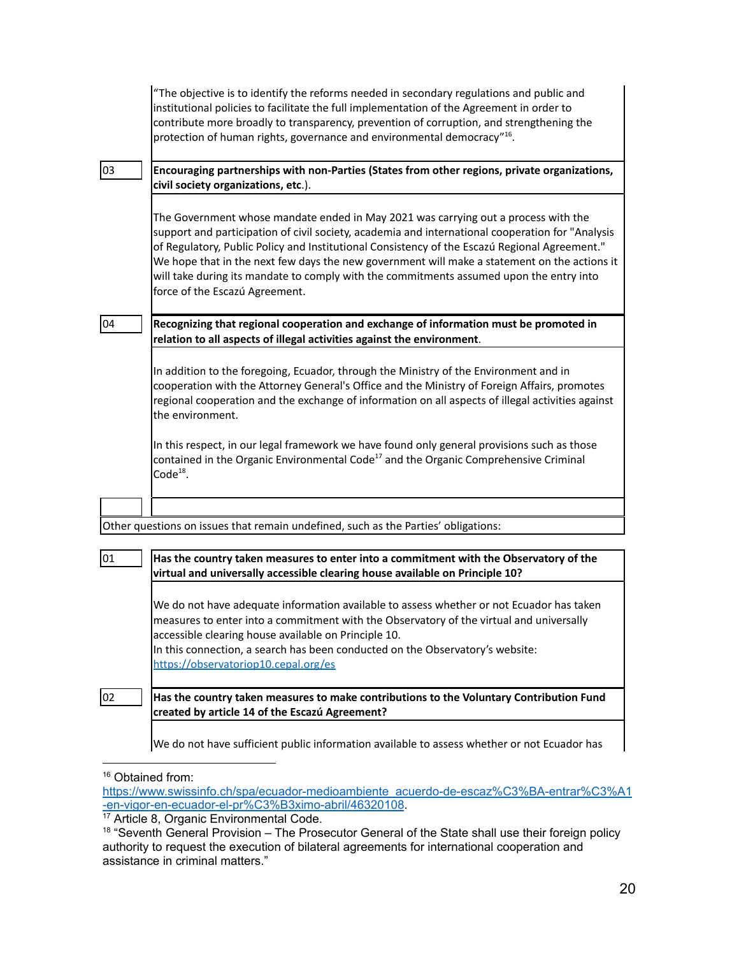|    | "The objective is to identify the reforms needed in secondary regulations and public and<br>institutional policies to facilitate the full implementation of the Agreement in order to<br>contribute more broadly to transparency, prevention of corruption, and strengthening the<br>protection of human rights, governance and environmental democracy" <sup>16</sup> .                                                                                                                                             |
|----|----------------------------------------------------------------------------------------------------------------------------------------------------------------------------------------------------------------------------------------------------------------------------------------------------------------------------------------------------------------------------------------------------------------------------------------------------------------------------------------------------------------------|
| 03 | Encouraging partnerships with non-Parties (States from other regions, private organizations,<br>civil society organizations, etc.).                                                                                                                                                                                                                                                                                                                                                                                  |
|    | The Government whose mandate ended in May 2021 was carrying out a process with the<br>support and participation of civil society, academia and international cooperation for "Analysis<br>of Regulatory, Public Policy and Institutional Consistency of the Escazú Regional Agreement."<br>We hope that in the next few days the new government will make a statement on the actions it<br>will take during its mandate to comply with the commitments assumed upon the entry into<br>force of the Escazú Agreement. |
| 04 | Recognizing that regional cooperation and exchange of information must be promoted in<br>relation to all aspects of illegal activities against the environment.                                                                                                                                                                                                                                                                                                                                                      |
|    | In addition to the foregoing, Ecuador, through the Ministry of the Environment and in<br>cooperation with the Attorney General's Office and the Ministry of Foreign Affairs, promotes<br>regional cooperation and the exchange of information on all aspects of illegal activities against<br>the environment.                                                                                                                                                                                                       |
|    | In this respect, in our legal framework we have found only general provisions such as those<br>contained in the Organic Environmental Code <sup>17</sup> and the Organic Comprehensive Criminal<br>$Code18$ .                                                                                                                                                                                                                                                                                                        |
|    |                                                                                                                                                                                                                                                                                                                                                                                                                                                                                                                      |
|    | Other questions on issues that remain undefined, such as the Parties' obligations:                                                                                                                                                                                                                                                                                                                                                                                                                                   |
| 01 | Has the country taken measures to enter into a commitment with the Observatory of the<br>virtual and universally accessible clearing house available on Principle 10?                                                                                                                                                                                                                                                                                                                                                |
|    | We do not have adequate information available to assess whether or not Ecuador has taken<br>measures to enter into a commitment with the Observatory of the virtual and universally<br>accessible clearing house available on Principle 10.<br>In this connection, a search has been conducted on the Observatory's website:<br>https://observatoriop10.cepal.org/es                                                                                                                                                 |
| 02 | Has the country taken measures to make contributions to the Voluntary Contribution Fund<br>created by article 14 of the Escazú Agreement?                                                                                                                                                                                                                                                                                                                                                                            |
|    | We do not have sufficient public information available to assess whether or not Ecuador has                                                                                                                                                                                                                                                                                                                                                                                                                          |

<sup>&</sup>lt;sup>16</sup> Obtained from:

[https://www.swissinfo.ch/spa/ecuador-medioambiente\\_acuerdo-de-escaz%C3%BA-entrar%C3%A1](https://www.swissinfo.ch/spa/ecuador-medioambiente_acuerdo-de-escaz%C3%BA-entrar%C3%A1-en-vigor-en-ecuador-el-pr%C3%B3ximo-abril/46320108) [-en-vigor-en-ecuador-el-pr%C3%B3ximo-abril/46320108](https://www.swissinfo.ch/spa/ecuador-medioambiente_acuerdo-de-escaz%C3%BA-entrar%C3%A1-en-vigor-en-ecuador-el-pr%C3%B3ximo-abril/46320108).

<sup>&</sup>lt;sup>17</sup> Article 8, Organic Environmental Code.

 $18$  "Seventh General Provision  $-$  The Prosecutor General of the State shall use their foreign policy authority to request the execution of bilateral agreements for international cooperation and assistance in criminal matters."